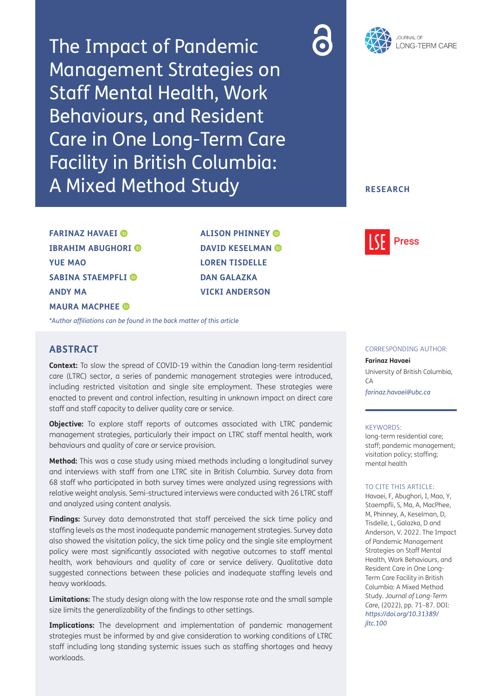The Impact of Pandemic Management Strategies on Staff Mental Health, Work Behaviours, and Resident Care in One Long-Term Care Facility in British Columbia: A Mixed Method Study





## **RESEARCH**

**FARINAZ HAVAEI IBRAHIM ABUGHORI YUE MAO SABINA STAEMPFLI ANDY MA MAURA MACPHEE** 

**ALISON PHINNEY DAVID KESELMAN @ LOREN TISDELLE DAN GALAZKA VICKI ANDERSON**



*[\\*Author affiliations can be found in the back matter of this article](#page-13-0)*

# **ABSTRACT**

**Context:** To slow the spread of COVID-19 within the Canadian long-term residential care (LTRC) sector, a series of pandemic management strategies were introduced, including restricted visitation and single site employment. These strategies were enacted to prevent and control infection, resulting in unknown impact on direct care staff and staff capacity to deliver quality care or service.

**Objective:** To explore staff reports of outcomes associated with LTRC pandemic management strategies, particularly their impact on LTRC staff mental health, work behaviours and quality of care or service provision.

**Method:** This was a case study using mixed methods including a longitudinal survey and interviews with staff from one LTRC site in British Columbia. Survey data from 68 staff who participated in both survey times were analyzed using regressions with relative weight analysis. Semi-structured interviews were conducted with 26 LTRC staff and analyzed using content analysis.

**Findings:** Survey data demonstrated that staff perceived the sick time policy and staffing levels as the most inadequate pandemic management strategies. Survey data also showed the visitation policy, the sick time policy and the single site employment policy were most significantly associated with negative outcomes to staff mental health, work behaviours and quality of care or service delivery. Qualitative data suggested connections between these policies and inadequate staffing levels and heavy workloads.

**Limitations:** The study design along with the low response rate and the small sample size limits the generalizability of the findings to other settings.

**Implications:** The development and implementation of pandemic management strategies must be informed by and give consideration to working conditions of LTRC staff including long standing systemic issues such as staffing shortages and heavy workloads

#### CORRESPONDING AUTHOR:

#### **Farinaz Havaei**

University of British Columbia, CA *[farinaz.havaei@ubc.ca](mailto:farinaz.havaei@ubc.ca)*

#### KEYWORDS:

long-term residential care; staff; pandemic management; visitation policy; staffing; mental health

#### TO CITE THIS ARTICLE:

Havaei, F, Abughori, I, Mao, Y, Staempfli, S, Ma, A, MacPhee, M, Phinney, A, Keselman, D, Tisdelle, L, Galazka, D and Anderson, V. 2022. The Impact of Pandemic Management Strategies on Staff Mental Health, Work Behaviours, and Resident Care in One Long-Term Care Facility in British Columbia: A Mixed Method Study. *Journal of Long-Term Care,* (2022), pp. 71–87. DOI: *[https://doi.org/10.31389/](https://doi.org/10.31389/jltc.100) [jltc.100](https://doi.org/10.31389/jltc.100)*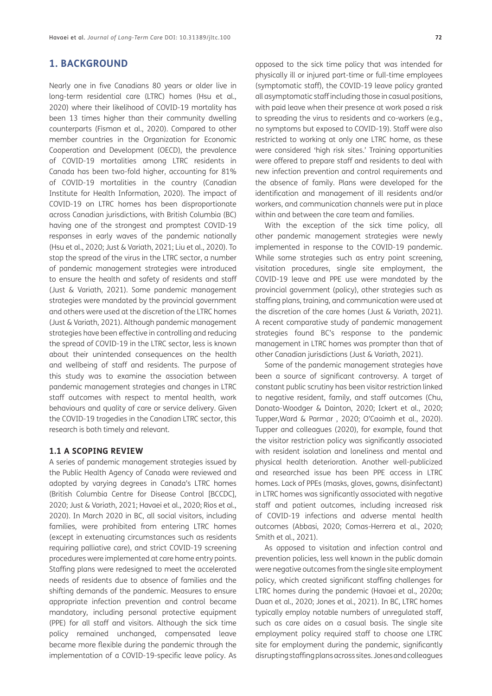# **1. BACKGROUND**

Nearly one in five Canadians 80 years or older live in long-term residential care (LTRC) homes ([Hsu et al.,](#page-15-0) [2020](#page-15-0)) where their likelihood of COVID-19 mortality has been 13 times higher than their community dwelling counterparts ([Fisman et al., 2020](#page-14-0)). Compared to other member countries in the Organization for Economic Cooperation and Development (OECD), the prevalence of COVID-19 mortalities among LTRC residents in Canada has been two-fold higher, accounting for 81% of COVID-19 mortalities in the country ([Canadian](#page-14-0) [Institute for Health Information, 2020\)](#page-14-0). The impact of COVID-19 on LTRC homes has been disproportionate across Canadian jurisdictions, with British Columbia (BC) having one of the strongest and promptest COVID-19 responses in early waves of the pandemic nationally [\(Hsu et al., 2020; Just & Variath, 2021](#page-15-0); [Liu et al., 2020](#page-15-0)). To stop the spread of the virus in the LTRC sector, a number of pandemic management strategies were introduced to ensure the health and safety of residents and staff [\(Just & Variath, 2021\)](#page-15-0). Some pandemic management strategies were mandated by the provincial government and others were used at the discretion of the LTRC homes [\(Just & Variath, 2021\)](#page-15-0). Although pandemic management strategies have been effective in controlling and reducing the spread of COVID-19 in the LTRC sector, less is known about their unintended consequences on the health and wellbeing of staff and residents. The purpose of this study was to examine the association between pandemic management strategies and changes in LTRC staff outcomes with respect to mental health, work behaviours and quality of care or service delivery. Given the COVID-19 tragedies in the Canadian LTRC sector, this research is both timely and relevant.

## **1.1 A SCOPING REVIEW**

A series of pandemic management strategies issued by the Public Health Agency of Canada were reviewed and adopted by varying degrees in Canada's LTRC homes [\(British Columbia Centre for Disease Control \[BCCDC\],](#page-14-0) [2020](#page-14-0); [Just & Variath, 2021;](#page-15-0) [Havaei et al., 2020](#page-15-0); [Rios et al.,](#page-16-0) [2020](#page-16-0)). In March 2020 in BC, all social visitors, including families, were prohibited from entering LTRC homes (except in extenuating circumstances such as residents requiring palliative care), and strict COVID-19 screening procedures were implemented at care home entry points. Staffing plans were redesigned to meet the accelerated needs of residents due to absence of families and the shifting demands of the pandemic. Measures to ensure appropriate infection prevention and control became mandatory, including personal protective equipment (PPE) for all staff and visitors. Although the sick time policy remained unchanged, compensated leave became more flexible during the pandemic through the implementation of a COVID-19-specific leave policy. As

opposed to the sick time policy that was intended for physically ill or injured part-time or full-time employees (symptomatic staff), the COVID-19 leave policy granted all asymptomatic staff including those in casual positions, with paid leave when their presence at work posed a risk to spreading the virus to residents and co-workers (e.g., no symptoms but exposed to COVID-19). Staff were also restricted to working at only one LTRC home, as these were considered 'high risk sites.' Training opportunities were offered to prepare staff and residents to deal with new infection prevention and control requirements and the absence of family. Plans were developed for the identification and management of ill residents and/or workers, and communication channels were put in place within and between the care team and families.

With the exception of the sick time policy, all other pandemic management strategies were newly implemented in response to the COVID-19 pandemic. While some strategies such as entry point screening, visitation procedures, single site employment, the COVID-19 leave and PPE use were mandated by the provincial government (policy), other strategies such as staffing plans, training, and communication were used at the discretion of the care homes ([Just & Variath, 2021\)](#page-15-0). A recent comparative study of pandemic management strategies found BC's response to the pandemic management in LTRC homes was prompter than that of other Canadian jurisdictions ([Just & Variath, 2021\)](#page-15-0).

Some of the pandemic management strategies have been a source of significant controversy. A target of constant public scrutiny has been visitor restriction linked to negative resident, family, and staff outcomes [\(Chu,](#page-14-0)  [Donato-Woodger & Dainton, 2020;](#page-14-0) [Ickert et al., 2020;](#page-15-0) [Tupper,Ward & Parmar , 2020;](#page-16-0) [O'Caoimh et al., 2020\)](#page-15-0). Tupper and colleagues ([2020\)](#page-16-0), for example, found that the visitor restriction policy was significantly associated with resident isolation and loneliness and mental and physical health deterioration. Another well-publicized and researched issue has been PPE access in LTRC homes. Lack of PPEs (masks, gloves, gowns, disinfectant) in LTRC homes was significantly associated with negative staff and patient outcomes, including increased risk of COVID-19 infections and adverse mental health outcomes ([Abbasi, 2020](#page-14-0); [Comas-Herrera et al., 2020;](#page-14-0) [Smith et al., 2021\)](#page-16-0).

As opposed to visitation and infection control and prevention policies, less well known in the public domain were negative outcomes from the single site employment policy, which created significant staffing challenges for LTRC homes during the pandemic [\(Havaei et al., 2020a;](#page-15-0) [Duan et al., 2020](#page-14-0); [Jones et al., 2021\)](#page-15-0). In BC, LTRC homes typically employ notable numbers of unregulated staff, such as care aides on a casual basis. The single site employment policy required staff to choose one LTRC site for employment during the pandemic, significantly disrupting staffing plans across sites. Jones and colleagues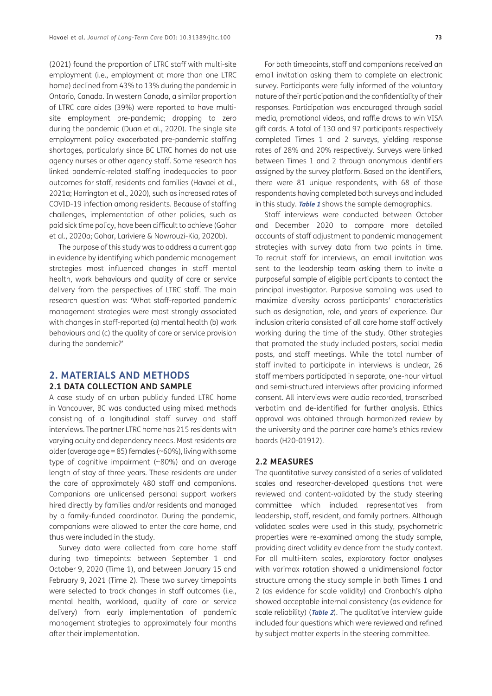(2021) found the proportion of LTRC staff with multi-site employment (i.e., employment at more than one LTRC home) declined from 43% to 13% during the pandemic in Ontario, Canada. In western Canada, a similar proportion of LTRC care aides (39%) were reported to have multisite employment pre-pandemic; dropping to zero during the pandemic [\(Duan et al., 2020](#page-14-0)). The single site employment policy exacerbated pre-pandemic staffing shortages, particularly since BC LTRC homes do not use agency nurses or other agency staff. Some research has linked pandemic-related staffing inadequacies to poor outcomes for staff, residents and families [\(Havaei et al.,](#page-15-0) [2021a;](#page-15-0) [Harrington et al., 2020](#page-14-0)), such as increased rates of COVID-19 infection among residents. Because of staffing challenges, implementation of other policies, such as paid sick time policy, have been difficult to achieve [\(Gohar](#page-14-0) [et al., 2020a;](#page-14-0) [Gohar, Lariviere & Nowrouzi-Kia, 2020b](#page-14-0)).

The purpose of this study was to address a current gap in evidence by identifying which pandemic management strategies most influenced changes in staff mental health, work behaviours and quality of care or service delivery from the perspectives of LTRC staff. The main research question was: 'What staff-reported pandemic management strategies were most strongly associated with changes in staff-reported (a) mental health (b) work behaviours and (c) the quality of care or service provision during the pandemic?'

# **2. MATERIALS AND METHODS 2.1 DATA COLLECTION AND SAMPLE**

A case study of an urban publicly funded LTRC home in Vancouver, BC was conducted using mixed methods consisting of a longitudinal staff survey and staff interviews. The partner LTRC home has 215 residents with varying acuity and dependency needs. Most residents are older (average age = 85) females ( $\sim$  60%), living with some type of cognitive impairment (~80%) and an average length of stay of three years. These residents are under the care of approximately 480 staff and companions. Companions are unlicensed personal support workers hired directly by families and/or residents and managed by a family-funded coordinator. During the pandemic, companions were allowed to enter the care home, and thus were included in the study.

Survey data were collected from care home staff during two timepoints: between September 1 and October 9, 2020 (Time 1), and between January 15 and February 9, 2021 (Time 2). These two survey timepoints were selected to track changes in staff outcomes (i.e., mental health, workload, quality of care or service delivery) from early implementation of pandemic management strategies to approximately four months after their implementation.

For both timepoints, staff and companions received an email invitation asking them to complete an electronic survey. Participants were fully informed of the voluntary nature of their participation and the confidentiality of their responses. Participation was encouraged through social media, promotional videos, and raffle draws to win VISA gift cards. A total of 130 and 97 participants respectively completed Times 1 and 2 surveys, yielding response rates of 28% and 20% respectively. Surveys were linked between Times 1 and 2 through anonymous identifiers assigned by the survey platform. Based on the identifiers, there were 81 unique respondents, with 68 of those respondents having completed both surveys and included in this study. **[Table 1](#page-3-0)** shows the sample demographics.

Staff interviews were conducted between October and December 2020 to compare more detailed accounts of staff adjustment to pandemic management strategies with survey data from two points in time. To recruit staff for interviews, an email invitation was sent to the leadership team asking them to invite a purposeful sample of eligible participants to contact the principal investigator. Purposive sampling was used to maximize diversity across participants' characteristics such as designation, role, and years of experience. Our inclusion criteria consisted of all care home staff actively working during the time of the study. Other strategies that promoted the study included posters, social media posts, and staff meetings. While the total number of staff invited to participate in interviews is unclear, 26 staff members participated in separate, one-hour virtual and semi-structured interviews after providing informed consent. All interviews were audio recorded, transcribed verbatim and de-identified for further analysis. Ethics approval was obtained through harmonized review by the university and the partner care home's ethics review boards (H20-01912).

## **2.2 MEASURES**

The quantitative survey consisted of a series of validated scales and researcher-developed questions that were reviewed and content-validated by the study steering committee which included representatives from leadership, staff, resident, and family partners. Although validated scales were used in this study, psychometric properties were re-examined among the study sample, providing direct validity evidence from the study context. For all multi-item scales, exploratory factor analyses with varimax rotation showed a unidimensional factor structure among the study sample in both Times 1 and 2 (as evidence for scale validity) and Cronbach's alpha showed acceptable internal consistency (as evidence for scale reliability) (**[Table 2](#page-5-0)**). The qualitative interview guide included four questions which were reviewed and refined by subject matter experts in the steering committee.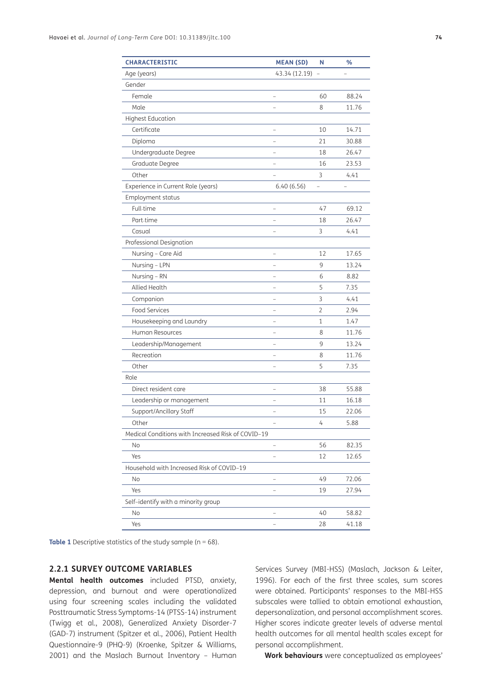| <b>CHARACTERISTIC</b>                              | <b>MEAN (SD)</b> | N  | %     |
|----------------------------------------------------|------------------|----|-------|
| Age (years)                                        | 43.34 (12.19)    |    |       |
| Gender                                             |                  |    |       |
| Female                                             |                  | 60 | 88.24 |
| Male                                               |                  | 8  | 11.76 |
| <b>Highest Education</b>                           |                  |    |       |
| Certificate                                        |                  | 10 | 14.71 |
| Diploma                                            |                  | 21 | 30.88 |
| Undergraduate Degree                               |                  | 18 | 26.47 |
| Graduate Degree                                    |                  | 16 | 23.53 |
| Other                                              |                  | 3  | 4.41  |
| Experience in Current Role (years)                 | 6.40(6.56)       |    |       |
| Employment status                                  |                  |    |       |
| Full-time                                          |                  | 47 | 69.12 |
| Part-time                                          |                  | 18 | 26.47 |
| Casual                                             |                  | 3  | 4.41  |
| Professional Designation                           |                  |    |       |
| Nursing - Care Aid                                 |                  | 12 | 17.65 |
| Nursing - LPN                                      |                  | 9  | 13.24 |
| Nursing - RN                                       |                  | 6  | 8.82  |
| Allied Health                                      |                  | 5  | 7.35  |
| Companion                                          |                  | 3  | 4.41  |
| Food Services                                      |                  | 2  | 2.94  |
| Housekeeping and Laundry                           |                  | 1  | 1.47  |
| Human Resources                                    |                  | 8  | 11.76 |
| Leadership/Management                              |                  | 9  | 13.24 |
| Recreation                                         |                  | 8  | 11.76 |
| Other                                              |                  | 5  | 7.35  |
| Role                                               |                  |    |       |
| Direct resident care                               |                  | 38 | 55.88 |
| Leadership or management                           |                  | 11 | 16.18 |
| Support/Ancillary Staff                            |                  | 15 | 22.06 |
| Other                                              |                  | 4  | 5.88  |
| Medical Conditions with Increased Risk of COVID-19 |                  |    |       |
| No                                                 |                  | 56 | 82.35 |
| Yes                                                |                  | 12 | 12.65 |
| Household with Increased Risk of COVID-19          |                  |    |       |
| No                                                 |                  | 49 | 72.06 |
| Yes                                                |                  | 19 | 27.94 |
| Self-identify with a minority group                |                  |    |       |
| No                                                 |                  | 40 | 58.82 |
| Yes                                                |                  | 28 | 41.18 |
|                                                    |                  |    |       |

<span id="page-3-0"></span>**Table 1** Descriptive statistics of the study sample (n = 68).

## **2.2.1 SURVEY OUTCOME VARIABLES**

**Mental health outcomes** included PTSD, anxiety, depression, and burnout and were operationalized using four screening scales including the validated Posttraumatic Stress Symptoms-14 (PTSS-14) instrument [\(Twigg et al., 2008\)](#page-16-0), Generalized Anxiety Disorder-7 (GAD-7) instrument ([Spitzer et al., 2006\)](#page-16-0), Patient Health Questionnaire-9 (PHQ-9) ([Kroenke, Spitzer & Williams,](#page-15-0) [2001](#page-15-0)) and the Maslach Burnout Inventory – Human Services Survey (MBI-HSS) [\(Maslach, Jackson & Leiter,](#page-15-0)  [1996\)](#page-15-0). For each of the first three scales, sum scores were obtained. Participants' responses to the MBI-HSS subscales were tallied to obtain emotional exhaustion, depersonalization, and personal accomplishment scores. Higher scores indicate greater levels of adverse mental health outcomes for all mental health scales except for personal accomplishment.

**Work behaviours** were conceptualized as employees'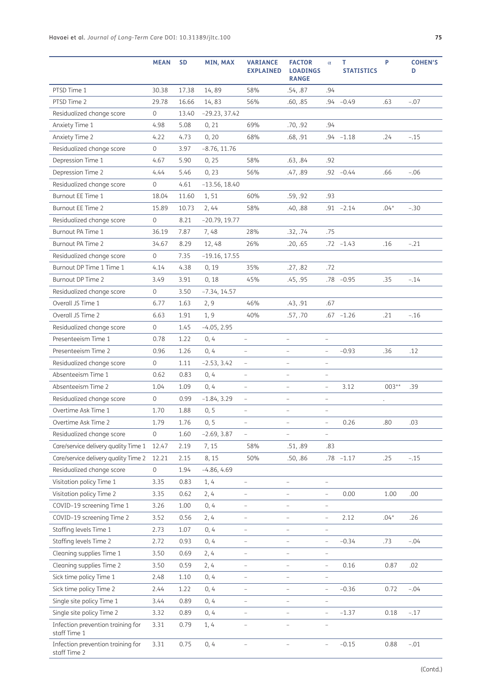|                                                   | <b>MEAN</b> | <b>SD</b> | MIN, MAX        | <b>VARIANCE</b><br><b>EXPLAINED</b> | <b>FACTOR</b><br><b>LOADINGS</b><br><b>RANGE</b> | $\alpha$                 | T.<br><b>STATISTICS</b> | P       | <b>COHEN'S</b><br>D |
|---------------------------------------------------|-------------|-----------|-----------------|-------------------------------------|--------------------------------------------------|--------------------------|-------------------------|---------|---------------------|
| PTSD Time 1                                       | 30.38       | 17.38     | 14,89           | 58%                                 | .54, .87                                         | .94                      |                         |         |                     |
| PTSD Time 2                                       | 29.78       | 16.66     | 14,83           | 56%                                 | .60, .85                                         |                          | $.94 - 0.49$            | .63     | $-.07$              |
| Residualized change score                         | 0           | 13.40     | $-29.23, 37.42$ |                                     |                                                  |                          |                         |         |                     |
| Anxiety Time 1                                    | 4.98        | 5.08      | 0, 21           | 69%                                 | .70, .92                                         | .94                      |                         |         |                     |
| Anxiety Time 2                                    | 4.22        | 4.73      | 0, 20           | 68%                                 | .68, .91                                         |                          | $.94 - 1.18$            | .24     | $-.15$              |
| Residualized change score                         | 0           | 3.97      | $-8.76, 11.76$  |                                     |                                                  |                          |                         |         |                     |
| Depression Time 1                                 | 4.67        | 5.90      | 0, 25           | 58%                                 | .63, .84                                         | .92                      |                         |         |                     |
| Depression Time 2                                 | 4.44        | 5.46      | 0, 23           | 56%                                 | .47, .89                                         |                          | $.92 -0.44$             | .66     | $-.06$              |
| Residualized change score                         | 0           | 4.61      | $-13.56, 18.40$ |                                     |                                                  |                          |                         |         |                     |
| Burnout EE Time 1                                 | 18.04       | 11.60     | 1,51            | 60%                                 | .59, .92                                         | .93                      |                         |         |                     |
| Burnout EE Time 2                                 | 15.89       | 10.73     | 2, 44           | 58%                                 | .40, .88                                         |                          | $.91 - 2.14$            | $.04*$  | $-.30$              |
| Residualized change score                         | 0           | 8.21      | $-20.79, 19.77$ |                                     |                                                  |                          |                         |         |                     |
| Burnout PA Time 1                                 | 36.19       | 7.87      | 7,48            | 28%                                 | .32, .74                                         | .75                      |                         |         |                     |
| Burnout PA Time 2                                 | 34.67       | 8.29      | 12,48           | 26%                                 | .20, .65                                         |                          | $.72 - 1.43$            | .16     | $-.21$              |
| Residualized change score                         | 0           | 7.35      | $-19.16, 17.55$ |                                     |                                                  |                          |                         |         |                     |
| Burnout DP Time 1 Time 1                          | 4.14        | 4.38      | 0, 19           | 35%                                 | .27, .82                                         | .72                      |                         |         |                     |
| Burnout DP Time 2                                 | 3.49        | 3.91      | 0, 18           | 45%                                 | .45, .95                                         |                          | $.78 - 0.95$            | .35     | $-.14$              |
| Residualized change score                         | 0           | 3.50      | $-7.34, 14.57$  |                                     |                                                  |                          |                         |         |                     |
| Overall JS Time 1                                 | 6.77        | 1.63      | 2, 9            | 46%                                 | .43, .91                                         | .67                      |                         |         |                     |
| Overall JS Time 2                                 | 6.63        | 1.91      | 1,9             | 40%                                 | .57, .70                                         |                          | $.67 - 1.26$            | .21     | $-.16$              |
| Residualized change score                         | 0           | 1.45      | $-4.05, 2.95$   |                                     |                                                  |                          |                         |         |                     |
| Presenteeism Time 1                               | 0.78        | 1.22      | 0, 4            |                                     | $\overline{a}$                                   |                          |                         |         |                     |
| Presenteeism Time 2                               | 0.96        | 1.26      | 0, 4            | $\overline{\phantom{0}}$            | $\overline{\phantom{0}}$                         | $\overline{\phantom{m}}$ | $-0.93$                 | .36     | .12                 |
| Residualized change score                         | 0           | 1.11      | $-2.53, 3.42$   | $\overline{a}$                      | $\overline{\phantom{0}}$                         | $\overline{\phantom{a}}$ |                         |         |                     |
| Absenteeism Time 1                                | 0.62        | 0.83      | 0, 4            | $\overline{\phantom{0}}$            | $\overline{\phantom{0}}$                         | $\overline{\phantom{a}}$ |                         |         |                     |
| Absenteeism Time 2                                | 1.04        | 1.09      | 0, 4            | $\overline{a}$                      | $\overline{a}$                                   | $\overline{\phantom{a}}$ | 3.12                    | $003**$ | .39                 |
| Residualized change score                         | 0           | 0.99      | $-1.84, 3.29$   |                                     | $\overline{a}$                                   | $\overline{a}$           |                         |         |                     |
| Overtime Ask Time 1                               | 1.70        | 1.88      | 0, 5            | $\overline{\phantom{0}}$            | $\overline{a}$                                   | $\qquad \qquad -$        |                         |         |                     |
| Overtime Ask Time 2                               | 1.79        | 1.76      | 0, 5            | $\overline{a}$                      | $\overline{a}$                                   | $\overline{a}$           | 0.26                    | .80     | .03                 |
| Residualized change score                         | 0           | 1.60      | $-2.69, 3.87$   | $\overline{\phantom{0}}$            | $\overline{\phantom{0}}$                         | $\overline{\phantom{a}}$ |                         |         |                     |
| Care/service delivery quality Time 1              | 12.47       | 2.19      | 7, 15           | 58%                                 | .51, .89                                         | .83                      |                         |         |                     |
| Care/service delivery quality Time 2              | 12.21       | 2.15      | 8, 15           | 50%                                 | .50, .86                                         |                          | $.78 - 1.17$            | .25     | $-.15$              |
| Residualized change score                         | 0           | 1.94      | $-4.86, 4.69$   |                                     |                                                  |                          |                         |         |                     |
| Visitation policy Time 1                          | 3.35        | 0.83      | 1, 4            | $\overline{\phantom{0}}$            | $\overline{a}$                                   | $\overline{\phantom{0}}$ |                         |         |                     |
| Visitation policy Time 2                          | 3.35        | 0.62      | 2,4             | $\overline{\phantom{0}}$            | $\overline{\phantom{0}}$                         | $\frac{1}{2}$            | 0.00                    | 1.00    | .00.                |
| COVID-19 screening Time 1                         | 3.26        | 1.00      | 0, 4            | $\overline{\phantom{0}}$            | $\overline{a}$                                   | $\qquad \qquad -$        |                         |         |                     |
| COVID-19 screening Time 2                         | 3.52        | 0.56      | 2,4             | $\overline{a}$                      | $\overline{\phantom{0}}$                         | $\qquad \qquad -$        | 2.12                    | $.04*$  | .26                 |
| Staffing levels Time 1                            | 2.73        | 1.07      | 0, 4            | $\overline{\phantom{0}}$            | $\overline{\phantom{0}}$                         | $\qquad \qquad -$        |                         |         |                     |
| Staffing levels Time 2                            | 2.72        | 0.93      | 0, 4            | $\overline{\phantom{0}}$            | $\overline{\phantom{0}}$                         | $\overline{\phantom{a}}$ | $-0.34$                 | .73     | $-.04$              |
| Cleaning supplies Time 1                          | 3.50        | 0.69      | 2, 4            | $\overline{\phantom{0}}$            | $\overline{\phantom{0}}$                         | $\overline{\phantom{a}}$ |                         |         |                     |
| Cleaning supplies Time 2                          | 3.50        | 0.59      | 2,4             | $\overline{\phantom{0}}$            | $\overline{\phantom{0}}$                         | $\qquad \qquad -$        | 0.16                    | 0.87    | .02                 |
| Sick time policy Time 1                           | 2.48        | 1.10      | 0, 4            | $\overline{a}$                      | $\overline{a}$                                   | $\overline{\phantom{m}}$ |                         |         |                     |
| Sick time policy Time 2                           | 2.44        | 1.22      | 0, 4            | $\overline{\phantom{0}}$            | $\overline{\phantom{0}}$                         | $\qquad \qquad -$        | $-0.36$                 | 0.72    | $-.04$              |
| Single site policy Time 1                         | 3.44        | 0.89      | 0, 4            | $\overline{\phantom{0}}$            | $\overline{\phantom{0}}$                         | $\overline{\phantom{0}}$ |                         |         |                     |
| Single site policy Time 2                         | 3.32        | 0.89      | 0, 4            | $\overline{\phantom{0}}$            | $\overline{\phantom{0}}$                         | $\overline{\phantom{a}}$ | $-1.37$                 | 0.18    | $-.17$              |
| Infection prevention training for<br>staff Time 1 | 3.31        | 0.79      | 1, 4            | $\overline{\phantom{0}}$            | $\overline{a}$                                   | $\overline{\phantom{0}}$ |                         |         |                     |
| Infection prevention training for<br>staff Time 2 | 3.31        | 0.75      | 0, 4            | $\overline{\phantom{0}}$            | $\overline{\phantom{0}}$                         | $\overline{\phantom{0}}$ | $-0.15$                 | 0.88    | $-.01$              |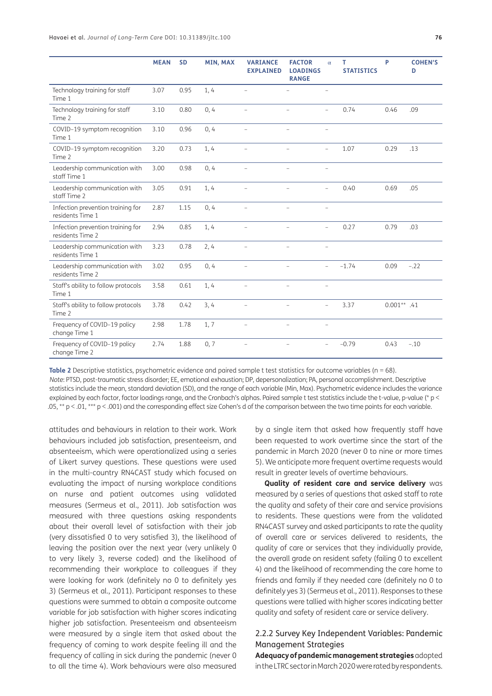|                                                       | <b>MEAN</b> | <b>SD</b> | MIN, MAX | <b>VARIANCE</b><br><b>EXPLAINED</b> | <b>FACTOR</b><br><b>LOADINGS</b><br><b>RANGE</b> | $\alpha$                 | T<br><b>STATISTICS</b> | P             | <b>COHEN'S</b><br>D |
|-------------------------------------------------------|-------------|-----------|----------|-------------------------------------|--------------------------------------------------|--------------------------|------------------------|---------------|---------------------|
| Technology training for staff<br>Time 1               | 3.07        | 0.95      | 1, 4     | $\overline{a}$                      |                                                  | $\overline{a}$           |                        |               |                     |
| Technology training for staff<br>Time 2               | 3.10        | 0.80      | 0, 4     | $\overline{a}$                      | $\overline{a}$                                   | $\overline{a}$           | 0.74                   | 0.46          | .09                 |
| COVID-19 symptom recognition<br>Time 1                | 3.10        | 0.96      | 0, 4     | $\overline{a}$                      | $\overline{a}$                                   | $\overline{\phantom{0}}$ |                        |               |                     |
| COVID-19 symptom recognition<br>Time 2                | 3.20        | 0.73      | 1, 4     | $\overline{\phantom{0}}$            |                                                  | $\overline{\phantom{0}}$ | 1.07                   | 0.29          | .13                 |
| Leadership communication with<br>staff Time 1         | 3.00        | 0.98      | 0, 4     |                                     | $\overline{\phantom{0}}$                         | $\qquad \qquad -$        |                        |               |                     |
| Leadership communication with<br>staff Time 2         | 3.05        | 0.91      | 1,4      | $\overline{a}$                      | $\overline{a}$                                   | $\overline{a}$           | 0.40                   | 0.69          | .05                 |
| Infection prevention training for<br>residents Time 1 | 2.87        | 1.15      | 0, 4     | $\overline{\phantom{0}}$            | $\qquad \qquad -$                                | $\overline{\phantom{0}}$ |                        |               |                     |
| Infection prevention training for<br>residents Time 2 | 2.94        | 0.85      | 1, 4     | $\qquad \qquad -$                   | $\qquad \qquad -$                                | $\overline{\phantom{0}}$ | 0.27                   | 0.79          | .03                 |
| Leadership communication with<br>residents Time 1     | 3.23        | 0.78      | 2,4      | $\overline{\phantom{0}}$            | $\qquad \qquad -$                                | $\qquad \qquad -$        |                        |               |                     |
| Leadership communication with<br>residents Time 2     | 3.02        | 0.95      | 0, 4     | $\overline{a}$                      | $\overline{\phantom{0}}$                         | $\overline{\phantom{0}}$ | $-1.74$                | 0.09          | $-.22$              |
| Staff's ability to follow protocols<br>Time 1         | 3.58        | 0.61      | 1,4      | $\overline{\phantom{a}}$            | $\overline{\phantom{0}}$                         | $\overline{\phantom{a}}$ |                        |               |                     |
| Staff's ability to follow protocols<br>Time 2         | 3.78        | 0.42      | 3, 4     | $\overline{a}$                      | $\overline{\phantom{0}}$                         | $\overline{\phantom{0}}$ | 3.37                   | $0.001**$ .41 |                     |
| Frequency of COVID-19 policy<br>change Time 1         | 2.98        | 1.78      | 1, 7     | $\overline{a}$                      | $\overline{a}$                                   | $\qquad \qquad -$        |                        |               |                     |
| Frequency of COVID-19 policy<br>change Time 2         | 2.74        | 1.88      | 0, 7     | $\qquad \qquad -$                   | $\qquad \qquad -$                                | $\overline{a}$           | $-0.79$                | 0.43          | $-.10$              |

<span id="page-5-0"></span>**Table 2** Descriptive statistics, psychometric evidence and paired sample t test statistics for outcome variables (n = 68). *Note*: PTSD, post-traumatic stress disorder; EE, emotional exhaustion; DP, depersonalization; PA, personal accomplishment. Descriptive statistics include the mean, standard deviation (SD), and the range of each variable (Min, Max). Psychometric evidence includes the variance explained by each factor, factor loadings range, and the Cronbach's alphas. Paired sample t test statistics include the t-value, p-value (\* p < .05,  $*$  p < .01,  $***$  p < .001) and the corresponding effect size Cohen's d of the comparison between the two time points for each variable.

attitudes and behaviours in relation to their work. Work behaviours included job satisfaction, presenteeism, and absenteeism, which were operationalized using a series of Likert survey questions. These questions were used in the multi-country RN4CAST study which focused on evaluating the impact of nursing workplace conditions on nurse and patient outcomes using validated measures ([Sermeus et al., 2011\)](#page-16-0). Job satisfaction was measured with three questions asking respondents about their overall level of satisfaction with their job (very dissatisfied 0 to very satisfied 3), the likelihood of leaving the position over the next year (very unlikely 0 to very likely 3, reverse coded) and the likelihood of recommending their workplace to colleagues if they were looking for work (definitely no 0 to definitely yes 3) [\(Sermeus et al., 2011\)](#page-16-0). Participant responses to these questions were summed to obtain a composite outcome variable for job satisfaction with higher scores indicating higher job satisfaction. Presenteeism and absenteeism were measured by a single item that asked about the frequency of coming to work despite feeling ill and the frequency of calling in sick during the pandemic (never 0 to all the time 4). Work behaviours were also measured by a single item that asked how frequently staff have been requested to work overtime since the start of the pandemic in March 2020 (never 0 to nine or more times 5). We anticipate more frequent overtime requests would result in greater levels of overtime behaviours.

**Quality of resident care and service delivery** was measured by a series of questions that asked staff to rate the quality and safety of their care and service provisions to residents. These questions were from the validated RN4CAST survey and asked participants to rate the quality of overall care or services delivered to residents, the quality of care or services that they individually provide, the overall grade on resident safety (failing 0 to excellent 4) and the likelihood of recommending the care home to friends and family if they needed care (definitely no 0 to definitely yes 3) ([Sermeus et al., 2011\)](#page-16-0). Responses to these questions were tallied with higher scores indicating better quality and safety of resident care or service delivery.

## 2.2.2 Survey Key Independent Variables: Pandemic Management Strategies

**Adequacy of pandemic management strategies** adopted in the LTRC sector in March 2020 were rated by respondents.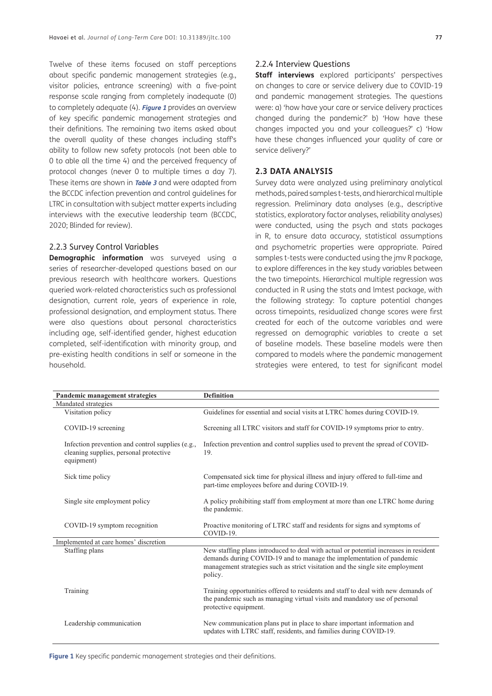Twelve of these items focused on staff perceptions about specific pandemic management strategies (e.g., visitor policies, entrance screening) with a five-point response scale ranging from completely inadequate (0) to completely adequate (4). **[Figure 1](#page-6-0)** provides an overview of key specific pandemic management strategies and their definitions. The remaining two items asked about the overall quality of these changes including staff's ability to follow new safety protocols (not been able to 0 to able all the time 4) and the perceived frequency of protocol changes (never 0 to multiple times a day 7). These items are shown in **[Table 3](#page-7-0)** and were adapted from the BCCDC infection prevention and control guidelines for LTRC in consultation with subject matter experts including interviews with the executive leadership team [\(BCCDC,](#page-14-0) [2020](#page-14-0); Blinded for review).

#### 2.2.3 Survey Control Variables

**Demographic information** was surveyed using a series of researcher-developed questions based on our previous research with healthcare workers. Questions queried work-related characteristics such as professional designation, current role, years of experience in role, professional designation, and employment status. There were also questions about personal characteristics including age, self-identified gender, highest education completed, self-identification with minority group, and pre-existing health conditions in self or someone in the household.

#### 2.2.4 Interview Questions

**Staff interviews** explored participants' perspectives on changes to care or service delivery due to COVID-19 and pandemic management strategies. The questions were: a) 'how have your care or service delivery practices changed during the pandemic?' b) 'How have these changes impacted you and your colleagues?' c) 'How have these changes influenced your quality of care or service delivery?'

#### **2.3 DATA ANALYSIS**

Survey data were analyzed using preliminary analytical methods, paired samples t-tests, and hierarchical multiple regression. Preliminary data analyses (e.g., descriptive statistics, exploratory factor analyses, reliability analyses) were conducted, using the psych and stats packages in R, to ensure data accuracy, statistical assumptions and psychometric properties were appropriate. Paired samples t-tests were conducted using the jmv R package, to explore differences in the key study variables between the two timepoints. Hierarchical multiple regression was conducted in R using the stats and lmtest package, with the following strategy: To capture potential changes across timepoints, residualized change scores were first created for each of the outcome variables and were regressed on demographic variables to create a set of baseline models. These baseline models were then compared to models where the pandemic management strategies were entered, to test for significant model

| Pandemic management strategies                                                                           | <b>Definition</b>                                                                                                                                                                                                                                         |
|----------------------------------------------------------------------------------------------------------|-----------------------------------------------------------------------------------------------------------------------------------------------------------------------------------------------------------------------------------------------------------|
| Mandated strategies                                                                                      |                                                                                                                                                                                                                                                           |
| Visitation policy                                                                                        | Guidelines for essential and social visits at LTRC homes during COVID-19.                                                                                                                                                                                 |
| COVID-19 screening                                                                                       | Screening all LTRC visitors and staff for COVID-19 symptoms prior to entry.                                                                                                                                                                               |
| Infection prevention and control supplies (e.g.,<br>cleaning supplies, personal protective<br>equipment) | Infection prevention and control supplies used to prevent the spread of COVID-<br>19.                                                                                                                                                                     |
| Sick time policy                                                                                         | Compensated sick time for physical illness and injury offered to full-time and<br>part-time employees before and during COVID-19.                                                                                                                         |
| Single site employment policy                                                                            | A policy prohibiting staff from employment at more than one LTRC home during<br>the pandemic.                                                                                                                                                             |
| COVID-19 symptom recognition                                                                             | Proactive monitoring of LTRC staff and residents for signs and symptoms of<br>COVID-19.                                                                                                                                                                   |
| Implemented at care homes' discretion                                                                    |                                                                                                                                                                                                                                                           |
| Staffing plans                                                                                           | New staffing plans introduced to deal with actual or potential increases in resident<br>demands during COVID-19 and to manage the implementation of pandemic<br>management strategies such as strict visitation and the single site employment<br>policy. |
| Training                                                                                                 | Training opportunities offered to residents and staff to deal with new demands of<br>the pandemic such as managing virtual visits and mandatory use of personal<br>protective equipment.                                                                  |
| Leadership communication                                                                                 | New communication plans put in place to share important information and<br>updates with LTRC staff, residents, and families during COVID-19.                                                                                                              |

<span id="page-6-0"></span>**Figure 1** Key specific pandemic management strategies and their definitions.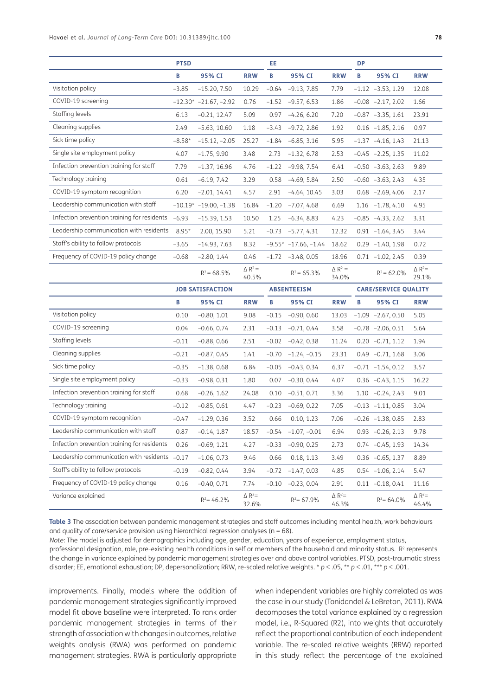|                                               | <b>PTSD</b> |                               |                            | EE      |                           |                            | <b>DP</b> |                             |                           |
|-----------------------------------------------|-------------|-------------------------------|----------------------------|---------|---------------------------|----------------------------|-----------|-----------------------------|---------------------------|
|                                               | B           | 95% CI                        | <b>RRW</b>                 | В       | 95% CI                    | <b>RRW</b>                 | В         | 95% CI                      | <b>RRW</b>                |
| Visitation policy                             | $-3.85$     | $-15.20, 7.50$                | 10.29                      | $-0.64$ | $-9.13, 7.85$             | 7.79                       |           | $-1.12 -3.53, 1.29$         | 12.08                     |
| COVID-19 screening                            |             | $-12.30$ * $-21.67, -2.92$    | 0.76                       | $-1.52$ | $-9.57, 6.53$             | 1.86                       |           | $-0.08$ $-2.17, 2.02$       | 1.66                      |
| Staffing levels                               | 6.13        | $-0.21, 12.47$                | 5.09                       | 0.97    | $-4.26, 6.20$             | 7.20                       |           | $-0.87 -3.35, 1.61$         | 23.91                     |
| Cleaning supplies                             | 2.49        | $-5.63, 10.60$                | 1.18                       | $-3.43$ | $-9.72, 2.86$             | 1.92                       |           | $0.16 - 1.85, 2.16$         | 0.97                      |
| Sick time policy                              | $-8.58*$    | $-15.12, -2.05$               | 25.27                      | $-1.84$ | $-6.85, 3.16$             | 5.95                       |           | $-1.37 -4.16, 1.43$         | 21.13                     |
| Single site employment policy                 | 4.07        | $-1.75, 9.90$                 | 3.48                       | 2.73    | $-1.32, 6.78$             | 2.53                       |           | $-0.45 -2.25, 1.35$         | 11.02                     |
| Infection prevention training for staff       | 7.79        | $-1.37, 16.96$                | 4.76                       | $-1.22$ | $-9.98, 7.54$             | 6.41                       |           | $-0.50 -3.63, 2.63$         | 9.89                      |
| Technology training                           | 0.61        | $-6.19, 7.42$                 | 3.29                       | 0.58    | $-4.69, 5.84$             | 2.50                       |           | $-0.60 -3.63, 2.43$         | 4.35                      |
| COVID-19 symptom recognition                  | 6.20        | $-2.01, 14.41$                | 4.57                       | 2.91    | $-4.64, 10.45$            | 3.03                       |           | $0.68 - 2.69, 4.06$         | 2.17                      |
| Leadership communication with staff           |             | $-10.19$ * $-19.00$ , $-1.38$ | 16.84                      | $-1.20$ | $-7.07, 4.68$             | 6.69                       |           | $1.16 - 1.78, 4.10$         | 4.95                      |
| Infection prevention training for residents   | $-6.93$     | $-15.39, 1.53$                | 10.50                      | 1.25    | $-6.34, 8.83$             | 4.23                       |           | $-0.85 -4.33, 2.62$         | 3.31                      |
| Leadership communication with residents       | $8.95*$     | 2.00, 15.90                   | 5.21                       | $-0.73$ | $-5.77, 4.31$             | 12.32                      |           | $0.91 - 1.64, 3.45$         | 3.44                      |
| Staff's ability to follow protocols           | $-3.65$     | $-14.93, 7.63$                | 8.32                       |         | $-9.55* -17.66, -1.44$    | 18.62                      |           | $0.29 -1.40, 1.98$          | 0.72                      |
| Frequency of COVID-19 policy change           | $-0.68$     | $-2.80, 1.44$                 | 0.46                       |         | $-1.72$ $-3.48$ , 0.05    | 18.96                      |           | $0.71 - 1.02, 2.45$         | 0.39                      |
|                                               |             | $R^2 = 68.5\%$                | $\triangle R^2 =$<br>40.5% |         | $R^2$ = 65.3%             | $\triangle R^2 =$<br>34.0% |           | $R^2 = 62.0\%$              | $\triangle R^2=$<br>29.1% |
|                                               |             | <b>JOB SATISFACTION</b>       |                            |         | <b>ABSENTEEISM</b>        |                            |           | <b>CARE/SERVICE QUALITY</b> |                           |
|                                               | B           | 95% CI                        | <b>RRW</b>                 | В       | 95% CI                    | <b>RRW</b>                 | В         | 95% CI                      | <b>RRW</b>                |
| Visitation policy                             |             |                               |                            |         |                           |                            |           |                             |                           |
|                                               | 0.10        | $-0.80, 1.01$                 | 9.08                       | $-0.15$ | $-0.90, 0.60$             | 13.03                      |           | $-1.09$ $-2.67, 0.50$       | 5.05                      |
| COVID-19 screening                            | 0.04        | $-0.66, 0.74$                 | 2.31                       | $-0.13$ | $-0.71, 0.44$             | 3.58                       |           | $-0.78$ $-2.06$ , 0.51      | 5.64                      |
| Staffing levels                               | $-0.11$     | $-0.88, 0.66$                 | 2.51                       | $-0.02$ | $-0.42, 0.38$             | 11.24                      |           | $0.20 -0.71, 1.12$          | 1.94                      |
| Cleaning supplies                             | $-0.21$     | $-0.87, 0.45$                 | 1.41                       | $-0.70$ | $-1.24, -0.15$            | 23.31                      |           | $0.49 -0.71, 1.68$          | 3.06                      |
| Sick time policy                              | $-0.35$     | $-1.38, 0.68$                 | 6.84                       | $-0.05$ | $-0.43, 0.34$             | 6.37                       |           | $-0.71 -1.54, 0.12$         | 3.57                      |
| Single site employment policy                 | $-0.33$     | $-0.98, 0.31$                 | 1.80                       | 0.07    | $-0.30, 0.44$             | 4.07                       |           | $0.36 -0.43, 1.15$          | 16.22                     |
| Infection prevention training for staff       | 0.68        | $-0.26, 1.62$                 | 24.08                      | 0.10    | $-0.51, 0.71$             | 3.36                       |           | $1.10 -0.24, 2.43$          | 9.01                      |
| Technology training                           | $-0.12$     | $-0.85, 0.61$                 | 4.47                       | $-0.23$ | $-0.69, 0.22$             | 7.05                       |           | $-0.13 -1.11, 0.85$         | 3.04                      |
| COVID-19 symptom recognition                  | $-0.47$     | $-1.29, 0.36$                 | 3.52                       | 0.66    | 0.10, 1.23                | 7.06                       |           | $-0.26 -1.38, 0.85$         | 2.83                      |
| Leadership communication with staff           | 0.87        | $-0.14, 1.87$                 | 18.57                      |         | $-0.54$ $-1.07$ , $-0.01$ | 6.94                       |           | $0.93 -0.26, 2.13$          | 9.78                      |
| Infection prevention training for residents   | 0.26        | $-0.69, 1.21$                 | 4.27                       | $-0.33$ | $-0.90, 0.25$             | 2.73                       |           | $0.74 -0.45, 1.93$          | 14.34                     |
| Leadership communication with residents -0.17 |             | $-1.06, 0.73$                 | 9.46                       | 0.66    | 0.18, 1.13                | 3.49                       |           | $0.36 -0.65, 1.37$          | 8.89                      |
| Staff's ability to follow protocols           | $-0.19$     | $-0.82, 0.44$                 | 3.94                       | $-0.72$ | $-1.47, 0.03$             | 4.85                       |           | $0.54 -1.06, 2.14$          | 5.47                      |
| Frequency of COVID-19 policy change           | 0.16        | $-0.40, 0.71$                 | 7.74                       | -0.10   | $-0.23, 0.04$             | 2.91                       |           | $0.11 - 0.18, 0.41$         | 11.16                     |

<span id="page-7-0"></span>**Table 3** The association between pandemic management strategies and staff outcomes including mental health, work behaviours and quality of care/service provision using hierarchical regression analyses ( $n = 68$ ).

*Note*: The model is adjusted for demographics including age, gender, education, years of experience, employment status,

professional designation, role, pre-existing health conditions in self or members of the household and minority status.  $R<sup>2</sup>$  represents the change in variance explained by pandemic management strategies over and above control variables. PTSD, post-traumatic stress disorder; EE, emotional exhaustion; DP, depersonalization; RRW, re-scaled relative weights. \* *p* < .05, \*\* *p* < .01, \*\*\* *p* < .001.

improvements. Finally, models where the addition of pandemic management strategies significantly improved model fit above baseline were interpreted. To rank order pandemic management strategies in terms of their strength of association with changes in outcomes, relative weights analysis (RWA) was performed on pandemic management strategies. RWA is particularly appropriate

when independent variables are highly correlated as was the case in our study ([Tonidandel & LeBreton, 2011\)](#page-16-0). RWA decomposes the total variance explained by a regression model, i.e., R-Squared (R2), into weights that accurately reflect the proportional contribution of each independent variable. The re-scaled relative weights (RRW) reported in this study reflect the percentage of the explained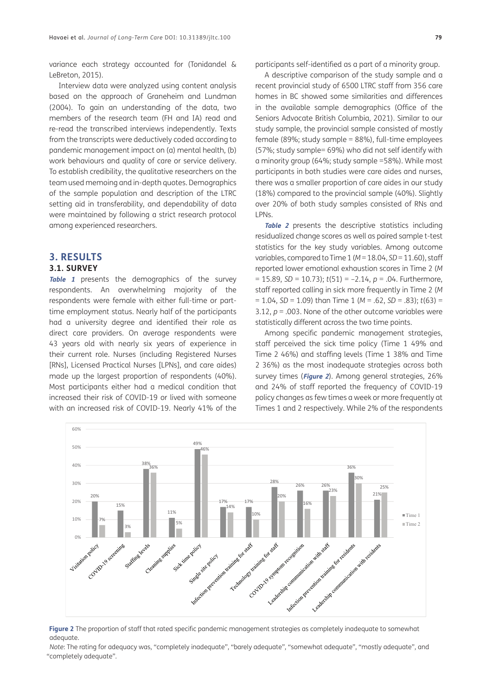variance each strategy accounted for [\(Tonidandel &](#page-16-0) [LeBreton, 2015\)](#page-16-0).

Interview data were analyzed using content analysis based on the approach of Graneheim and Lundman [\(2004](#page-14-0)). To gain an understanding of the data, two members of the research team (FH and IA) read and re-read the transcribed interviews independently. Texts from the transcripts were deductively coded according to pandemic management impact on (a) mental health, (b) work behaviours and quality of care or service delivery. To establish credibility, the qualitative researchers on the team used memoing and in-depth quotes. Demographics of the sample population and description of the LTRC setting aid in transferability, and dependability of data were maintained by following a strict research protocol among experienced researchers.

## **3. RESULTS**

## **3.1. SURVEY**

**[Table 1](#page-3-0)** presents the demographics of the survey respondents. An overwhelming majority of the respondents were female with either full-time or parttime employment status. Nearly half of the participants had a university degree and identified their role as direct care providers. On average respondents were 43 years old with nearly six years of experience in their current role. Nurses (including Registered Nurses [RNs], Licensed Practical Nurses [LPNs], and care aides) made up the largest proportion of respondents (40%). Most participants either had a medical condition that increased their risk of COVID-19 or lived with someone with an increased risk of COVID-19. Nearly 41% of the

participants self-identified as a part of a minority group.

A descriptive comparison of the study sample and a recent provincial study of 6500 LTRC staff from 356 care homes in BC showed some similarities and differences in the available sample demographics ([Office of the](#page-15-0)  [Seniors Advocate British Columbia, 2021\)](#page-15-0). Similar to our study sample, the provincial sample consisted of mostly female (89%; study sample = 88%), full-time employees (57%; study sample= 69%) who did not self identify with a minority group (64%; study sample =58%). While most participants in both studies were care aides and nurses, there was a smaller proportion of care aides in our study (18%) compared to the provincial sample (40%). Slightly over 20% of both study samples consisted of RNs and LPNs.

**[Table 2](#page-5-0)** presents the descriptive statistics including residualized change scores as well as paired sample t-test statistics for the key study variables. Among outcome variables, compared to Time 1 (*M* = 18.04, *SD* = 11.60), staff reported lower emotional exhaustion scores in Time 2 (*M*  = 15.89, *SD* = 10.73); *t*(51) = –2.14, *p* = .04. Furthermore, staff reported calling in sick more frequently in Time 2 (*M*  = 1.04, *SD* = 1.09) than Time 1 (*M* = .62, *SD* = .83); *t*(63) = 3.12,  $p = 0.003$ . None of the other outcome variables were statistically different across the two time points.

Among specific pandemic management strategies, staff perceived the sick time policy (Time 1 49% and Time 2 46%) and staffing levels (Time 1 38% and Time 2 36%) as the most inadequate strategies across both survey times (**[Figure 2](#page-8-0)**). Among general strategies, 26% and 24% of staff reported the frequency of COVID-19 policy changes as few times a week or more frequently at Times 1 and 2 respectively. While 2% of the respondents



<span id="page-8-0"></span>**Figure 2** The proportion of staff that rated specific pandemic management strategies as completely inadequate to somewhat adequate.

*Note*: The rating for adequacy was, "completely inadequate", "barely adequate", "somewhat adequate", "mostly adequate", and "completely adequate".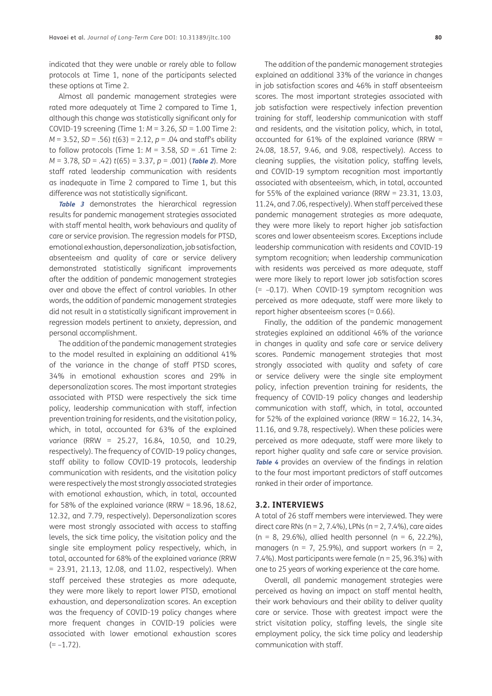indicated that they were unable or rarely able to follow protocols at Time 1, none of the participants selected these options at Time 2.

Almost all pandemic management strategies were rated more adequately at Time 2 compared to Time 1, although this change was statistically significant only for COVID-19 screening (Time 1: *M* = 3.26, *SD* = 1.00 Time 2: *M* = 3.52, *SD* = .56) *t*(63) = 2.12, *p* = .04 and staff's ability to follow protocols (Time 1: *M* = 3.58, *SD* = .61 Time 2: *M* = 3.78, *SD* = .42) *t*(65) = 3.37, *p* = .001) (**[Table 2](#page-5-0)**). More staff rated leadership communication with residents as inadequate in Time 2 compared to Time 1, but this difference was not statistically significant.

**[Table 3](#page-7-0)** demonstrates the hierarchical regression results for pandemic management strategies associated with staff mental health, work behaviours and quality of care or service provision. The regression models for PTSD, emotional exhaustion, depersonalization, job satisfaction, absenteeism and quality of care or service delivery demonstrated statistically significant improvements after the addition of pandemic management strategies over and above the effect of control variables. In other words, the addition of pandemic management strategies did not result in a statistically significant improvement in regression models pertinent to anxiety, depression, and personal accomplishment.

The addition of the pandemic management strategies to the model resulted in explaining an additional 41% of the variance in the change of staff PTSD scores, 34% in emotional exhaustion scores and 29% in depersonalization scores. The most important strategies associated with PTSD were respectively the sick time policy, leadership communication with staff, infection prevention training for residents, and the visitation policy, which, in total, accounted for 63% of the explained variance (RRW = 25.27, 16.84, 10.50, and 10.29, respectively). The frequency of COVID-19 policy changes, staff ability to follow COVID-19 protocols, leadership communication with residents, and the visitation policy were respectively the most strongly associated strategies with emotional exhaustion, which, in total, accounted for 58% of the explained variance (RRW =  $18.96$ ,  $18.62$ , 12.32, and 7.79, respectively). Depersonalization scores were most strongly associated with access to staffing levels, the sick time policy, the visitation policy and the single site employment policy respectively, which, in total, accounted for 68% of the explained variance (RRW = 23.91, 21.13, 12.08, and 11.02, respectively). When staff perceived these strategies as more adequate, they were more likely to report lower PTSD, emotional exhaustion, and depersonalization scores. An exception was the frequency of COVID-19 policy changes where more frequent changes in COVID-19 policies were associated with lower emotional exhaustion scores  $(=-1.72)$ .

The addition of the pandemic management strategies explained an additional 33% of the variance in changes in job satisfaction scores and 46% in staff absenteeism scores. The most important strategies associated with job satisfaction were respectively infection prevention training for staff, leadership communication with staff and residents, and the visitation policy, which, in total, accounted for 61% of the explained variance (RRW  $=$ 24.08, 18.57, 9.46, and 9.08, respectively). Access to cleaning supplies, the visitation policy, staffing levels, and COVID-19 symptom recognition most importantly associated with absenteeism, which, in total, accounted for 55% of the explained variance (RRW =  $23.31$ , 13.03, 11.24, and 7.06, respectively). When staff perceived these pandemic management strategies as more adequate, they were more likely to report higher job satisfaction scores and lower absenteeism scores. Exceptions include leadership communication with residents and COVID-19 symptom recognition; when leadership communication with residents was perceived as more adequate, staff were more likely to report lower job satisfaction scores (= –0.17). When COVID-19 symptom recognition was perceived as more adequate, staff were more likely to report higher absenteeism scores (= 0.66).

Finally, the addition of the pandemic management strategies explained an additional 46% of the variance in changes in quality and safe care or service delivery scores. Pandemic management strategies that most strongly associated with quality and safety of care or service delivery were the single site employment policy, infection prevention training for residents, the frequency of COVID-19 policy changes and leadership communication with staff, which, in total, accounted for 52% of the explained variance (RRW =  $16.22$ , 14.34, 11.16, and 9.78, respectively). When these policies were perceived as more adequate, staff were more likely to report higher quality and safe care or service provision. **[Table 4](#page-10-0)** provides an overview of the findings in relation to the four most important predictors of staff outcomes ranked in their order of importance.

#### **3.2. INTERVIEWS**

A total of 26 staff members were interviewed. They were direct care RNs ( $n = 2, 7.4\%$ ), LPNs ( $n = 2, 7.4\%$ ), care aides  $(n = 8, 29.6\%)$ , allied health personnel (n = 6, 22.2%), managers ( $n = 7$ , 25.9%), and support workers ( $n = 2$ , 7.4%). Most participants were female (n = 25, 96.3%) with one to 25 years of working experience at the care home.

Overall, all pandemic management strategies were perceived as having an impact on staff mental health, their work behaviours and their ability to deliver quality care or service. Those with greatest impact were the strict visitation policy, staffing levels, the single site employment policy, the sick time policy and leadership communication with staff.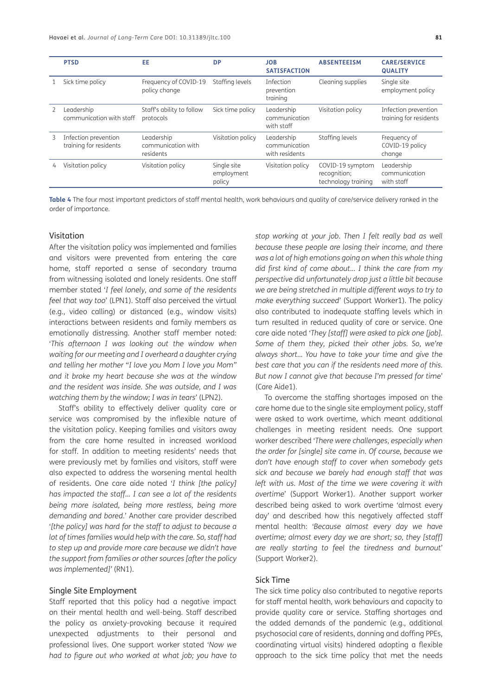|   | <b>PTSD</b>                                    | EE                                            | <b>DP</b>                           | <b>JOB</b><br><b>SATISFACTION</b>             | <b>ABSENTEEISM</b>                                      | <b>CARE/SERVICE</b><br><b>QUALITY</b>          |
|---|------------------------------------------------|-----------------------------------------------|-------------------------------------|-----------------------------------------------|---------------------------------------------------------|------------------------------------------------|
|   | Sick time policy                               | Frequency of COVID-19<br>policy change        | Staffing levels                     | Infection<br>prevention<br>training           | Cleaning supplies                                       | Single site<br>employment policy               |
|   | Leadership<br>communication with staff         | Staff's ability to follow<br>protocols        | Sick time policy                    | Leadership<br>communication<br>with staff     | Visitation policy                                       | Infection prevention<br>training for residents |
| 3 | Infection prevention<br>training for residents | Leadership<br>communication with<br>residents | Visitation policy                   | Leadership<br>communication<br>with residents | Staffing levels                                         | Frequency of<br>COVID-19 policy<br>change      |
| 4 | Visitation policy                              | Visitation policy                             | Single site<br>employment<br>policy | Visitation policy                             | COVID-19 symptom<br>recognition;<br>technology training | Leadership<br>communication<br>with staff      |

<span id="page-10-0"></span>**Table 4** The four most important predictors of staff mental health, work behaviours and quality of care/service delivery ranked in the order of importance.

#### Visitation

After the visitation policy was implemented and families and visitors were prevented from entering the care home, staff reported a sense of secondary trauma from witnessing isolated and lonely residents. One staff member stated '*I feel lonely, and some of the residents feel that way too*' (LPN1). Staff also perceived the virtual (e.g., video calling) or distanced (e.g., window visits) interactions between residents and family members as emotionally distressing. Another staff member noted: '*This afternoon I was looking out the window when waiting for our meeting and I overheard a daughter crying and telling her mother "I love you Mom I love you Mom" and it broke my heart because she was at the window and the resident was inside. She was outside, and I was watching them by the window; I was in tears*' (LPN2).

Staff's ability to effectively deliver quality care or service was compromised by the inflexible nature of the visitation policy. Keeping families and visitors away from the care home resulted in increased workload for staff. In addition to meeting residents' needs that were previously met by families and visitors, staff were also expected to address the worsening mental health of residents. One care aide noted '*I think [the policy] has impacted the staff… I can see a lot of the residents being more isolated, being more restless, being more demanding and bored*.' Another care provider described '*[the policy] was hard for the staff to adjust to because a lot of times families would help with the care. So, staff had to step up and provide more care because we didn't have the support from families or other sources [after the policy was implemented]'* (RN1).

## Single Site Employment

Staff reported that this policy had a negative impact on their mental health and well-being. Staff described the policy as anxiety-provoking because it required unexpected adjustments to their personal and professional lives. One support worker stated '*Now we had to figure out who worked at what job; you have to* 

*stop working at your job. Then I felt really bad as well because these people are losing their income, and there was a lot of high emotions going on when this whole thing did first kind of come about… I think the care from my perspective did unfortunately drop just a little bit because we are being stretched in multiple different ways to try to make everything succeed*' (Support Worker1). The policy also contributed to inadequate staffing levels which in turn resulted in reduced quality of care or service. One care aide noted *'They [staff] were asked to pick one [job]. Some of them they, picked their other jobs. So, we're always short… You have to take your time and give the best care that you can if the residents need more of this. But now I cannot give that because I'm pressed for time*' (Care Aide1).

To overcome the staffing shortages imposed on the care home due to the single site employment policy, staff were asked to work overtime, which meant additional challenges in meeting resident needs. One support worker described '*There were challenges, especially when the order for [single] site came in. Of course, because we don't have enough staff to cover when somebody gets sick and because we barely had enough staff that was left with us. Most of the time we were covering it with overtime*' (Support Worker1). Another support worker described being asked to work overtime 'almost every day' and described how this negatively affected staff mental health: '*Because almost every day we have overtime; almost every day we are short; so, they [staff] are really starting to feel the tiredness and burnout*' (Support Worker2).

## Sick Time

The sick time policy also contributed to negative reports for staff mental health, work behaviours and capacity to provide quality care or service. Staffing shortages and the added demands of the pandemic (e.g., additional psychosocial care of residents, donning and doffing PPEs, coordinating virtual visits) hindered adopting a flexible approach to the sick time policy that met the needs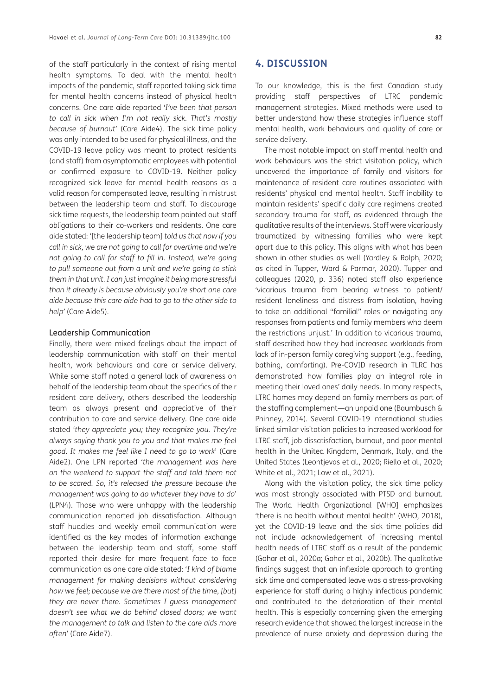of the staff particularly in the context of rising mental health symptoms. To deal with the mental health impacts of the pandemic, staff reported taking sick time for mental health concerns instead of physical health concerns. One care aide reported '*I've been that person to call in sick when I'm not really sick. That's mostly because of burnout*' (Care Aide4). The sick time policy was only intended to be used for physical illness, and the COVID-19 leave policy was meant to protect residents (and staff) from asymptomatic employees with potential or confirmed exposure to COVID-19. Neither policy recognized sick leave for mental health reasons as a valid reason for compensated leave, resulting in mistrust between the leadership team and staff. To discourage sick time requests, the leadership team pointed out staff obligations to their co-workers and residents. One care aide stated: '[the leadership team] *told us that now if you call in sick, we are not going to call for overtime and we're not going to call for staff to fill in. Instead, we're going to pull someone out from a unit and we're going to stick them in that unit. I can just imagine it being more stressful than it already is because obviously you're short one care aide because this care aide had to go to the other side to help'* (Care Aide5).

#### Leadership Communication

Finally, there were mixed feelings about the impact of leadership communication with staff on their mental health, work behaviours and care or service delivery. While some staff noted a general lack of awareness on behalf of the leadership team about the specifics of their resident care delivery, others described the leadership team as always present and appreciative of their contribution to care and service delivery. One care aide stated '*they appreciate you; they recognize you. They're always saying thank you to you and that makes me feel good. It makes me feel like I need to go to work*' (Care Aide2). One LPN reported '*the management was here on the weekend to support the staff and told them not to be scared. So, it's released the pressure because the management was going to do whatever they have to do*' (LPN4). Those who were unhappy with the leadership communication reported job dissatisfaction. Although staff huddles and weekly email communication were identified as the key modes of information exchange between the leadership team and staff, some staff reported their desire for more frequent face to face communication as one care aide stated: '*I kind of blame management for making decisions without considering how we feel; because we are there most of the time, [but] they are never there. Sometimes I guess management doesn't see what we do behind closed doors; we want the management to talk and listen to the care aids more often'* (Care Aide7).

# **4. DISCUSSION**

To our knowledge, this is the first Canadian study providing staff perspectives of LTRC pandemic management strategies. Mixed methods were used to better understand how these strategies influence staff mental health, work behaviours and quality of care or service delivery.

The most notable impact on staff mental health and work behaviours was the strict visitation policy, which uncovered the importance of family and visitors for maintenance of resident care routines associated with residents' physical and mental health. Staff inability to maintain residents' specific daily care regimens created secondary trauma for staff, as evidenced through the qualitative results of the interviews. Staff were vicariously traumatized by witnessing families who were kept apart due to this policy. This aligns with what has been shown in other studies as well ([Yardley & Rolph, 2020;](#page-16-0) as cited in [Tupper, Ward & Parmar, 2020](#page-16-0)). Tupper and colleagues [\(2020, p. 336](#page-16-0)) noted staff also experience 'vicarious trauma from bearing witness to patient/ resident loneliness and distress from isolation, having to take on additional "familial" roles or navigating any responses from patients and family members who deem the restrictions unjust.' In addition to vicarious trauma, staff described how they had increased workloads from lack of in-person family caregiving support (e.g., feeding, bathing, comforting). Pre-COVID research in TLRC has demonstrated how families play an integral role in meeting their loved ones' daily needs. In many respects, LTRC homes may depend on family members as part of the staffing complement—an unpaid one ([Baumbusch &](#page-14-0)  [Phinney, 2014](#page-14-0)). Several COVID-19 international studies linked similar visitation policies to increased workload for LTRC staff, job dissatisfaction, burnout, and poor mental health in the United Kingdom, Denmark, Italy, and the United States ([Leontjevas et al., 2020; Riello et al., 2020;](#page-15-0) [White et al., 2021](#page-16-0); [Low et al., 2021\)](#page-15-0).

Along with the visitation policy, the sick time policy was most strongly associated with PTSD and burnout. The World Health Organizational [WHO] emphasizes 'there is no health without mental health' ([WHO, 2018\)](#page-16-0), yet the COVID-19 leave and the sick time policies did not include acknowledgement of increasing mental health needs of LTRC staff as a result of the pandemic ([Gohar et al., 2020a](#page-14-0); [Gohar et al., 2020b](#page-14-0)). The qualitative findings suggest that an inflexible approach to granting sick time and compensated leave was a stress-provoking experience for staff during a highly infectious pandemic and contributed to the deterioration of their mental health. This is especially concerning given the emerging research evidence that showed the largest increase in the prevalence of nurse anxiety and depression during the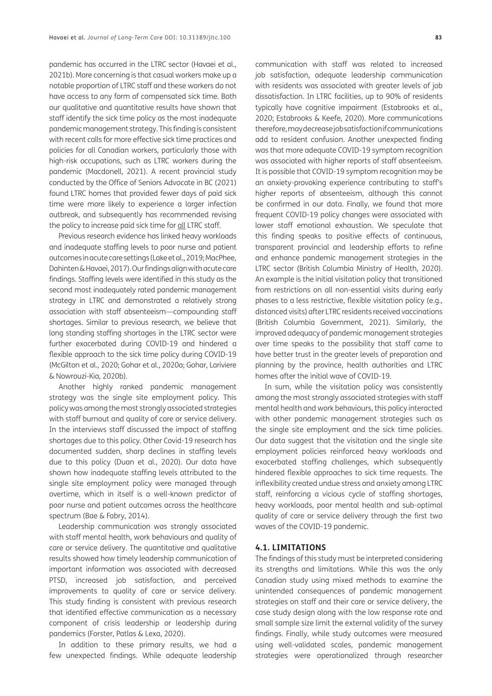pandemic has occurred in the LTRC sector [\(Havaei et al.,](#page-15-0) [2021b\)](#page-15-0). More concerning is that casual workers make up a notable proportion of LTRC staff and these workers do not have access to any form of compensated sick time. Both our qualitative and quantitative results have shown that staff identify the sick time policy as the most inadequate pandemic management strategy. This finding is consistent with recent calls for more effective sick time practices and policies for all Canadian workers, particularly those with high-risk occupations, such as LTRC workers during the pandemic [\(Macdonell, 2021\)](#page-15-0). A recent provincial study conducted by the Office of Seniors Advocate in BC (2021) found LTRC homes that provided fewer days of paid sick time were more likely to experience a larger infection outbreak, and subsequently has recommended revising the policy to increase paid sick time for all LTRC staff.

Previous research evidence has linked heavy workloads and inadequate staffing levels to poor nurse and patient outcomes in acute care settings ([Lake et al., 2019; MacPhee,](#page-15-0) [Dahinten & Havaei, 2017\)](#page-15-0). Our findings align with acute care findings. Staffing levels were identified in this study as the second most inadequately rated pandemic management strategy in LTRC and demonstrated a relatively strong association with staff absenteeism—compounding staff shortages. Similar to previous research, we believe that long standing staffing shortages in the LTRC sector were further exacerbated during COVID-19 and hindered a flexible approach to the sick time policy during COVID-19 [\(McGilton et al., 2020](#page-15-0); [Gohar et al., 2020a](#page-14-0); [Gohar, Lariviere](#page-14-0) [& Nowrouzi-Kia, 2020b](#page-14-0)).

Another highly ranked pandemic management strategy was the single site employment policy. This policy was among the most strongly associated strategies with staff burnout and quality of care or service delivery. In the interviews staff discussed the impact of staffing shortages due to this policy. Other Covid-19 research has documented sudden, sharp declines in staffing levels due to this policy [\(Duan et al., 2020\)](#page-14-0). Our data have shown how inadequate staffing levels attributed to the single site employment policy were managed through overtime, which in itself is a well-known predictor of poor nurse and patient outcomes across the healthcare spectrum [\(Bae & Fabry, 2014\)](#page-14-0).

Leadership communication was strongly associated with staff mental health, work behaviours and quality of care or service delivery. The quantitative and qualitative results showed how timely leadership communication of important information was associated with decreased PTSD, increased job satisfaction, and perceived improvements to quality of care or service delivery. This study finding is consistent with previous research that identified effective communication as a necessary component of crisis leadership or leadership during pandemics ([Forster, Patlas & Lexa, 2020](#page-14-0)).

In addition to these primary results, we had a few unexpected findings. While adequate leadership

communication with staff was related to increased job satisfaction, adequate leadership communication with residents was associated with greater levels of job dissatisfaction. In LTRC facilities, up to 90% of residents typically have cognitive impairment [\(Estabrooks et al.,](#page-14-0)  [2020;](#page-14-0) [Estabrooks & Keefe, 2020\)](#page-14-0). More communications therefore, may decrease job satisfaction if communications add to resident confusion. Another unexpected finding was that more adequate COVID-19 symptom recognition was associated with higher reports of staff absenteeism. It is possible that COVID-19 symptom recognition may be an anxiety-provoking experience contributing to staff's higher reports of absenteeism, although this cannot be confirmed in our data. Finally, we found that more frequent COVID-19 policy changes were associated with lower staff emotional exhaustion. We speculate that this finding speaks to positive effects of continuous, transparent provincial and leadership efforts to refine and enhance pandemic management strategies in the LTRC sector [\(British Columbia Ministry of Health, 2020\)](#page-14-0). An example is the initial visitation policy that transitioned from restrictions on all non-essential visits during early phases to a less restrictive, flexible visitation policy (e.g., distanced visits) after LTRC residents received vaccinations ([British Columbia Government, 2021](#page-14-0)). Similarly, the improved adequacy of pandemic management strategies over time speaks to the possibility that staff came to have better trust in the greater levels of preparation and planning by the province, health authorities and LTRC homes after the initial wave of COVID-19.

In sum, while the visitation policy was consistently among the most strongly associated strategies with staff mental health and work behaviours, this policy interacted with other pandemic management strategies such as the single site employment and the sick time policies. Our data suggest that the visitation and the single site employment policies reinforced heavy workloads and exacerbated staffing challenges, which subsequently hindered flexible approaches to sick time requests. The inflexibility created undue stress and anxiety among LTRC staff, reinforcing a vicious cycle of staffing shortages, heavy workloads, poor mental health and sub-optimal quality of care or service delivery through the first two waves of the COVID-19 pandemic.

#### **4.1. LIMITATIONS**

The findings of this study must be interpreted considering its strengths and limitations. While this was the only Canadian study using mixed methods to examine the unintended consequences of pandemic management strategies on staff and their care or service delivery, the case study design along with the low response rate and small sample size limit the external validity of the survey findings. Finally, while study outcomes were measured using well-validated scales, pandemic management strategies were operationalized through researcher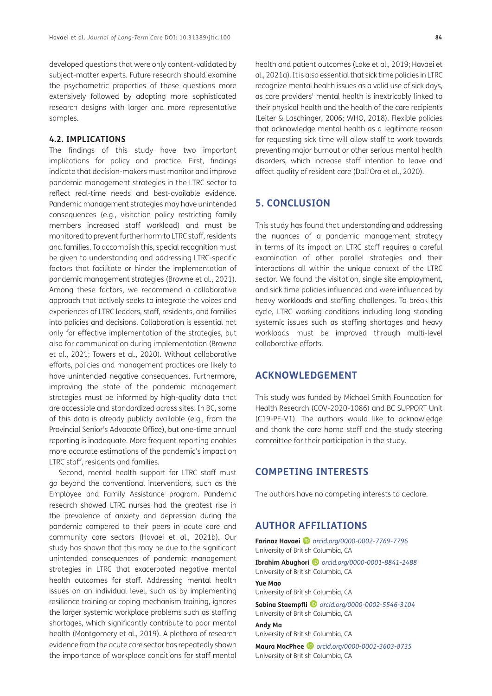developed questions that were only content-validated by subject-matter experts. Future research should examine the psychometric properties of these questions more extensively followed by adopting more sophisticated research designs with larger and more representative samples.

## **4.2. IMPLICATIONS**

The findings of this study have two important implications for policy and practice. First, findings indicate that decision-makers must monitor and improve pandemic management strategies in the LTRC sector to reflect real-time needs and best-available evidence. Pandemic management strategies may have unintended consequences (e.g., visitation policy restricting family members increased staff workload) and must be monitored to prevent further harm to LTRC staff, residents and families. To accomplish this, special recognition must be given to understanding and addressing LTRC-specific factors that facilitate or hinder the implementation of pandemic management strategies ([Browne et al., 2021](#page-14-0)). Among these factors, we recommend a collaborative approach that actively seeks to integrate the voices and experiences of LTRC leaders, staff, residents, and families into policies and decisions. Collaboration is essential not only for effective implementation of the strategies, but also for communication during implementation ([Browne](#page-14-0) [et al., 2021;](#page-14-0) [Towers et al., 2020](#page-16-0)). Without collaborative efforts, policies and management practices are likely to have unintended negative consequences. Furthermore, improving the state of the pandemic management strategies must be informed by high-quality data that are accessible and standardized across sites. In BC, some of this data is already publicly available (e.g., from the Provincial Senior's Advocate Office), but one-time annual reporting is inadequate. More frequent reporting enables more accurate estimations of the pandemic's impact on LTRC staff, residents and families.

Second, mental health support for LTRC staff must go beyond the conventional interventions, such as the Employee and Family Assistance program. Pandemic research showed LTRC nurses had the greatest rise in the prevalence of anxiety and depression during the pandemic compered to their peers in acute care and community care sectors ([Havaei et al., 2021b\)](#page-15-0). Our study has shown that this may be due to the significant unintended consequences of pandemic management strategies in LTRC that exacerbated negative mental health outcomes for staff. Addressing mental health issues on an individual level, such as by implementing resilience training or coping mechanism training, ignores the larger systemic workplace problems such as staffing shortages, which significantly contribute to poor mental health ([Montgomery et al., 2019\)](#page-15-0). A plethora of research evidence from the acute care sector has repeatedly shown the importance of workplace conditions for staff mental health and patient outcomes ([Lake et al., 2019](#page-15-0); [Havaei et](#page-15-0)  [al., 2021a](#page-15-0)). It is also essential that sick time policies in LTRC recognize mental health issues as a valid use of sick days, as care providers' mental health is inextricably linked to their physical health and the health of the care recipients ([Leiter & Laschinger, 2006](#page-15-0); [WHO, 2018\)](#page-16-0). Flexible policies that acknowledge mental health as a legitimate reason for requesting sick time will allow staff to work towards preventing major burnout or other serious mental health disorders, which increase staff intention to leave and affect quality of resident care [\(Dall'Ora et al., 2020](#page-14-0)).

# **5. CONCLUSION**

This study has found that understanding and addressing the nuances of a pandemic management strategy in terms of its impact on LTRC staff requires a careful examination of other parallel strategies and their interactions all within the unique context of the LTRC sector. We found the visitation, single site employment, and sick time policies influenced and were influenced by heavy workloads and staffing challenges. To break this cycle, LTRC working conditions including long standing systemic issues such as staffing shortages and heavy workloads must be improved through multi-level collaborative efforts.

# **ACKNOWLEDGEMENT**

This study was funded by Michael Smith Foundation for Health Research (COV-2020-1086) and BC SUPPORT Unit (C19-PE-V1). The authors would like to acknowledge and thank the care home staff and the study steering committee for their participation in the study.

## **COMPETING INTERESTS**

The authors have no competing interests to declare.

# <span id="page-13-0"></span>**AUTHOR AFFILIATIONS**

**Farinaz Havaei** *[orcid.org/0000-0002-7769-7796](https://orcid.org/0000-0002-7769-7796)* University of British Columbia, CA

**Ibrahim Abughori** *[orcid.org/0000-0001-8841-2488](https://orcid.org/0000-0001-8841-2488)* University of British Columbia, CA

**Yue Mao**

University of British Columbia, CA

**Sabina Staempfli** *[orcid.org/0000-0002-5546-3104](https://orcid.org/0000-0002-5546-3104)* University of British Columbia, CA **Andy Ma**

University of British Columbia, CA

**Maura MacPhee** *[orcid.org/0000-0002-3603-8735](https://orcid.org/0000-0002-3603-8735)* University of British Columbia, CA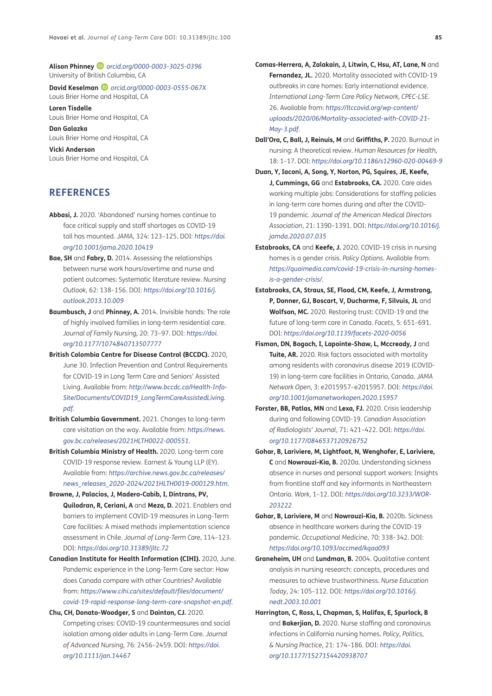<span id="page-14-0"></span>**Alison Phinney** *[orcid.org/0000-0003-3025-0396](https://orcid.org/0000-0003-3025-0396)* University of British Columbia, CA

**David Keselman** *[orcid.org/0000-0003-0555-067X](https://orcid.org/0000-0003-0555-067X)* Louis Brier Home and Hospital, CA

**Loren Tisdelle** Louis Brier Home and Hospital, CA

**Dan Galazka** Louis Brier Home and Hospital, CA

**Vicki Anderson** Louis Brier Home and Hospital, CA

# **REFERENCES**

- **Abbasi, J.** 2020. 'Abandoned' nursing homes continue to face critical supply and staff shortages as COVID-19 toll has mounted. *JAMA,* 324: 123–125. DOI: *[https://doi.](https://doi.org/10.1001/jama.2020.10419) [org/10.1001/jama.2020.10419](https://doi.org/10.1001/jama.2020.10419)*
- **Bae, SH** and **Fabry, D.** 2014. Assessing the relationships between nurse work hours/overtime and nurse and patient outcomes: Systematic literature review. *Nursing Outlook*, 62: 138–156. DOI: *[https://doi.org/10.1016/j.](https://doi.org/10.1016/j.outlook.2013.10.009) [outlook.2013.10.009](https://doi.org/10.1016/j.outlook.2013.10.009)*
- **Baumbusch, J** and **Phinney, A.** 2014. Invisible hands: The role of highly involved families in long-term residential care. *Journal of Family Nursing*, 20: 73–97. DOI: *[https://doi.](https://doi.org/10.1177/1074840713507777) [org/10.1177/1074840713507777](https://doi.org/10.1177/1074840713507777)*
- **British Colombia Centre for Disease Control (BCCDC).** 2020, June 30. Infection Prevention and Control Requirements for COVID-19 in Long Term Care and Seniors' Assisted Living. Available from: *[http://www.bccdc.ca/Health-Info-](http://www.bccdc.ca/Health-Info-Site/Documents/COVID19_LongTermCareAssistedLiving.pdf)[Site/Documents/COVID19\\_LongTermCareAssistedLiving.](http://www.bccdc.ca/Health-Info-Site/Documents/COVID19_LongTermCareAssistedLiving.pdf) [pdf](http://www.bccdc.ca/Health-Info-Site/Documents/COVID19_LongTermCareAssistedLiving.pdf)*.
- **British Columbia Government.** 2021. Changes to long-term care visitation on the way. Available from: *[https://news.](https://news.gov.bc.ca/releases/2021HLTH0022-000551) [gov.bc.ca/releases/2021HLTH0022-000551](https://news.gov.bc.ca/releases/2021HLTH0022-000551)*.
- **British Columbia Ministry of Health.** 2020. Long-term care COVID-19 response review. Earnest & Young LLP (EY). Available from: *[https://archive.news.gov.bc.ca/releases/](https://archive.news.gov.bc.ca/releases/news_releases_2020-2024/2021HLTH0019-000129.htm) [news\\_releases\\_2020-2024/2021HLTH0019-000129.htm](https://archive.news.gov.bc.ca/releases/news_releases_2020-2024/2021HLTH0019-000129.htm)*.
- **Browne, J, Palacios, J, Madero-Cabib, I, Dintrans, PV, Quilodran, R, Ceriani, A** and **Meza, D.** 2021. Enablers and barriers to implement COVID-19 measures in Long-Term Care facilities: A mixed methods implementation science assessment in Chile. *Journal of Long-Term Care*, 114–123. DOI: *<https://doi.org/10.31389/jltc.72>*
- **Canadian Institute for Health Information (CIHI).** 2020, June. Pandemic experience in the Long-Term Care sector: How does Canada compare with other Countries? Available from: *[https://www.cihi.ca/sites/default/files/document/](https://www.cihi.ca/sites/default/files/document/covid-19-rapid-response-long-term-care-snapshot-en.pdf) [covid-19-rapid-response-long-term-care-snapshot-en.pdf](https://www.cihi.ca/sites/default/files/document/covid-19-rapid-response-long-term-care-snapshot-en.pdf)*.
- **Chu, CH, Donato-Woodger, S** and **Dainton, CJ.** 2020. Competing crises: COVID-19 countermeasures and social isolation among older adults in Long-Term Care*. Journal of Advanced Nursing*, 76: 2456–2459. DOI: *[https://doi.](https://doi.org/10.1111/jan.14467) [org/10.1111/jan.14467](https://doi.org/10.1111/jan.14467)*
- **Comas-Herrera, A, Zalakain, J, Litwin, C, Hsu, AT, Lane, N** and **Fernandez, JL.** 2020. Mortality associated with COVID-19 outbreaks in care homes: Early international evidence. *International Long-Term Care Policy Network, CPEC-LSE.* 26. Available from: *[https://ltccovid.org/wp-content/](https://ltccovid.org/wp-content/uploads/2020/06/Mortality-associated-with-COVID-21-May-3.pdf) [uploads/2020/06/Mortality-associated-with-COVID-21-](https://ltccovid.org/wp-content/uploads/2020/06/Mortality-associated-with-COVID-21-May-3.pdf) [May-3.pdf](https://ltccovid.org/wp-content/uploads/2020/06/Mortality-associated-with-COVID-21-May-3.pdf)*.
- **Dall'Ora, C, Ball, J, Reinuis, M** and **Griffiths, P.** 2020. Burnout in nursing: A theoretical review. *Human Resources for Health,* 18: 1–17. DOI: *<https://doi.org/10.1186/s12960-020-00469-9>*
- **Duan, Y, Iaconi, A, Song, Y, Norton, PG, Squires, JE, Keefe, J, Cummings, GG** and **Estabrooks, CA.** 2020. Care aides working multiple jobs: Considerations for staffing policies in long-term care homes during and after the COVID-19 pandemic. *Journal of the American Medical Directors Association*, 21: 1390–1391. DOI: *[https://doi.org/10.1016/j.](https://doi.org/10.1016/j.jamda.2020.07.035) [jamda.2020.07.035](https://doi.org/10.1016/j.jamda.2020.07.035)*
- **Estabrooks, CA** and **Keefe, J.** 2020. COVID-19 crisis in nursing homes is a gender crisis. *Policy Options.* Available from: *[https://quoimedia.com/covid-19-crisis-in-nursing-homes](https://quoimedia.com/covid-19-crisis-in-nursing-homes-is-a-gender-crisis/)[is-a-gender-crisis/](https://quoimedia.com/covid-19-crisis-in-nursing-homes-is-a-gender-crisis/)*.
- **Estabrooks, CA, Straus, SE, Flood, CM, Keefe, J, Armstrong, P, Donner, GJ, Boscart, V, Ducharme, F, Silvuis, JL** and **Wolfson, MC.** 2020. Restoring trust: COVID-19 and the future of long-term care in Canada. *Facets*, 5: 651–691. DOI: *<https://doi.org/10.1139/facets-2020-0056>*
- **Fisman, DN, Bogoch, I, Lapointe-Shaw, L, Mccready, J** and **Tuite, AR.** 2020. Risk factors associated with mortality among residents with coronavirus disease 2019 (COVID-19) in long-term care facilities in Ontario, Canada. *JAMA Network Open,* 3: e2015957–e2015957. DOI: *[https://doi.](https://doi.org/10.1001/jamanetworkopen.2020.15957) [org/10.1001/jamanetworkopen.2020.15957](https://doi.org/10.1001/jamanetworkopen.2020.15957)*
- **Forster, BB, Patlas, MN** and **Lexa, FJ.** 2020. Crisis leadership during and following COVID-19. *Canadian Association of Radiologists' Journal*, 71: 421–422. DOI: *[https://doi.](https://doi.org/10.1177/0846537120926752) [org/10.1177/0846537120926752](https://doi.org/10.1177/0846537120926752)*
- **Gohar, B, Lariviere, M, Lightfoot, N, Wenghofer, E, Lariviere, C** and **Nowrouzi-Kia, B.** 2020a. Understanding sickness absence in nurses and personal support workers: Insights from frontline staff and key informants in Northeastern Ontario. *Work*, 1–12. DOI: *[https://doi.org/10.3233/WOR-](https://doi.org/10.3233/WOR-203222)[203222](https://doi.org/10.3233/WOR-203222)*
- **Gohar, B, Lariviere, M** and **Nowrouzi-Kia, B.** 2020b. Sickness absence in healthcare workers during the COVID-19 pandemic. *Occupational Medicine*, 70: 338–342. DOI: *<https://doi.org/10.1093/occmed/kqaa093>*
- **Graneheim, UH** and **Lundman, B.** 2004. Qualitative content analysis in nursing research: concepts, procedures and measures to achieve trustworthiness. *Nurse Education Today*, 24: 105–112. DOI: *[https://doi.org/10.1016/j.](https://doi.org/10.1016/j.nedt.2003.10.001) [nedt.2003.10.001](https://doi.org/10.1016/j.nedt.2003.10.001)*
- **Harrington, C, Ross, L, Chapman, S, Halifax, E, Spurlock, B** and **Bakerjian, D.** 2020. Nurse staffing and coronavirus infections in California nursing homes. *Policy, Politics, & Nursing Practice*, 21: 174–186. DOI: *[https://doi.](https://doi.org/10.1177/1527154420938707) [org/10.1177/1527154420938707](https://doi.org/10.1177/1527154420938707)*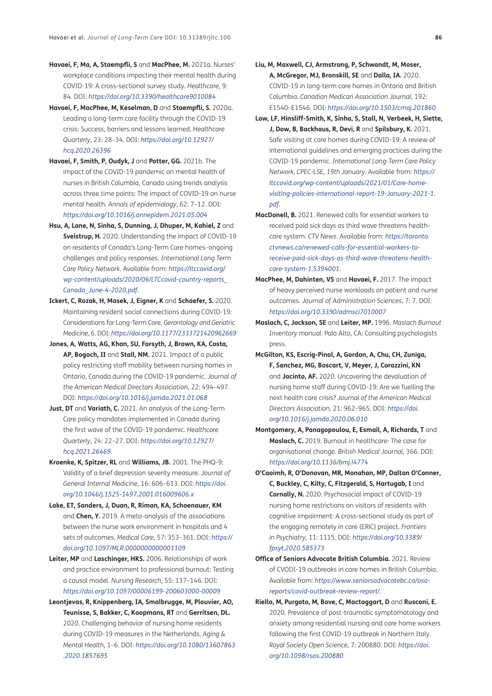- <span id="page-15-0"></span>**Havaei, F, Ma, A, Staempfli, S** and **MacPhee, M.** 2021a. Nurses' workplace conditions impacting their mental health during COVID-19: A cross-sectional survey study. *Healthcare*, 9: 84. DOI: *<https://doi.org/10.3390/healthcare9010084>*
- **Havaei, F, MacPhee, M, Keselman, D** and **Staempfli, S.** 2020a. Leading a long-term care facility through the COVID-19 crisis: Success, barriers and lessons learned. *Healthcare Quarterly*, 23: 28–34. DOI: *[https://doi.org/10.12927/](https://doi.org/10.12927/hcq.2020.26396) [hcq.2020.26396](https://doi.org/10.12927/hcq.2020.26396)*
- **Havaei, F, Smith, P, Oudyk, J** and **Potter, GG.** 2021b. The impact of the COVID-19 pandemic on mental health of nurses in British Columbia, Canada using trends analysis across three time points: The impact of COVID-19 on nurse mental health. *Annals of epidemiology*, 62: 7–12. DOI: *<https://doi.org/10.1016/j.annepidem.2021.05.004>*
- **Hsu, A, Lane, N, Sinha, S, Dunning, J, Dhuper, M, Kahiel, Z** and **Sveistrup, H.** 2020. Understanding the impact of COVID-19 on residents of Canada's Long-Term Care homes–ongoing challenges and policy responses. *International Long Term Care Policy Network*. Available from: *[https://ltccovid.org/](https://ltccovid.org/wp-content/uploads/2020/06/LTCcovid-country-reports_Canada_June-4-2020.pdf) [wp-content/uploads/2020/06/LTCcovid-country-reports\\_](https://ltccovid.org/wp-content/uploads/2020/06/LTCcovid-country-reports_Canada_June-4-2020.pdf) [Canada\\_June-4-2020.pdf](https://ltccovid.org/wp-content/uploads/2020/06/LTCcovid-country-reports_Canada_June-4-2020.pdf)*.
- **Ickert, C, Rozak, H, Masek, J, Eigner, K** and **Schaefer, S.** 2020. Maintaining resident social connections during COVID-19: Considerations for Long-Term Care. *Gerontology and Geriatric Medicine*, 6. DOI: *<https://doi.org/10.1177/2333721420962669>*
- **Jones, A, Watts, AG, Khan, SU, Forsyth, J, Brown, KA, Costa, AP, Bogoch, II** and **Stall, NM.** 2021. Impact of a public policy restricting staff mobility between nursing homes in Ontario, Canada during the COVID-19 pandemic. *Journal of the American Medical Directors Association*, 22: 494–497. DOI: *<https://doi.org/10.1016/j.jamda.2021.01.068>*
- **Just, DT** and **Variath, C.** 2021. An analysis of the Long-Term Care policy mandates implemented in Canada during the first wave of the COVID-19 pandemic. *Healthcare Quarterly*, 24: 22–27. DOI: *[https://doi.org/10.12927/](https://doi.org/10.12927/hcq.2021.26469) [hcq.2021.26469](https://doi.org/10.12927/hcq.2021.26469)*
- **Kroenke, K, Spitzer, RL** and **Williams, JB.** 2001. The PHQ-9: Validity of a brief depression severity measure. *Journal of General Internal Medicine*, 16: 606–613. DOI: *[https://doi.](https://doi.org/10.1046/j.1525-1497.2001.016009606.x) [org/10.1046/j.1525-1497.2001.016009606.x](https://doi.org/10.1046/j.1525-1497.2001.016009606.x)*
- **Lake, ET, Sanders, J, Duan, R, Riman, KA, Schoenauer, KM** and **Chen, Y.** 2019. A meta-analysis of the associations between the nurse work environment in hospitals and 4 sets of outcomes. *Medical Care*, 57: 353–361. DOI: *[https://](https://doi.org/10.1097/MLR.0000000000001109) [doi.org/10.1097/MLR.0000000000001109](https://doi.org/10.1097/MLR.0000000000001109)*
- **Leiter, MP** and **Laschinger, HKS.** 2006. Relationships of work and practice environment to professional burnout: Testing a causal model. *Nursing Research*, 55: 137–146. DOI: *<https://doi.org/10.1097/00006199-200603000-00009>*
- **Leontjevas, R, Knippenberg, IA, Smalbrugge, M, Plouvier, AO, Teunisse, S, Bakker, C, Koopmans, RT** and **Gerritsen, DL.** 2020. Challenging behavior of nursing home residents during COVID-19 measures in the Netherlands. *Aging & Mental Health*, 1–6. DOI: *[https://doi.org/10.1080/13607863](https://doi.org/10.1080/13607863.2020.1857695) [.2020.1857695](https://doi.org/10.1080/13607863.2020.1857695)*
- **Liu, M, Maxwell, CJ, Armstrong, P, Schwandt, M, Moser, A, McGregor, MJ, Bronskill, SE** and **Dalla, IA.** 2020. COVID-19 in long-term care homes in Ontario and British Columbia. *Canadian Medican Association Journal*, 192: E1540–E1546. DOI: *<https://doi.org/10.1503/cmaj.201860>*
- **Low, LF, Hinsliff-Smith, K, Sinha, S, Stall, N, Verbeek, H, Siette, J, Dow, B, Backhaus, R, Devi, R** and **Spilsbury, K.** 2021. Safe visiting at care homes during COVID-19: A review of international guidelines and emerging practices during the COVID-19 pandemic. *International Long-Term Care Policy Network, CPEC-LSE, 19th January*. Available from: *[https://](https://ltccovid.org/wp-content/uploads/2021/01/Care-home-visiting-policies-international-report-19-January-2021-1.pdf) [ltccovid.org/wp-content/uploads/2021/01/Care-home](https://ltccovid.org/wp-content/uploads/2021/01/Care-home-visiting-policies-international-report-19-January-2021-1.pdf)[visiting-policies-international-report-19-January-2021-1.](https://ltccovid.org/wp-content/uploads/2021/01/Care-home-visiting-policies-international-report-19-January-2021-1.pdf) [pdf](https://ltccovid.org/wp-content/uploads/2021/01/Care-home-visiting-policies-international-report-19-January-2021-1.pdf)*.
- **MacDonell, B.** 2021. Renewed calls for essential workers to received paid sick days as third wave threatens healthcare system. *CTV News*. Available from: *[https://toronto.](https://toronto.ctvnews.ca/renewed-calls-for-essential-workers-to-receive-paid-sick-days-as-third-wave-threatens-health-care-system-1.5394001) [ctvnews.ca/renewed-calls-for-essential-workers-to](https://toronto.ctvnews.ca/renewed-calls-for-essential-workers-to-receive-paid-sick-days-as-third-wave-threatens-health-care-system-1.5394001)[receive-paid-sick-days-as-third-wave-threatens-health](https://toronto.ctvnews.ca/renewed-calls-for-essential-workers-to-receive-paid-sick-days-as-third-wave-threatens-health-care-system-1.5394001)[care-system-1.5394001](https://toronto.ctvnews.ca/renewed-calls-for-essential-workers-to-receive-paid-sick-days-as-third-wave-threatens-health-care-system-1.5394001)*.
- **MacPhee, M, Dahinten, VS** and **Havaei, F.** 2017. The impact of heavy perceived nurse workloads on patient and nurse outcomes. *Journal of Administration Sciences*, 7: 7. DOI: *<https://doi.org/10.3390/admsci7010007>*
- **Maslach, C, Jackson, SE** and **Leiter, MP.** 1996. *Maslach Burnout Inventory manual*. Palo Alto, CA: Consulting psychologists press.
- **McGilton, KS, Escrig-Pinol, A, Gordon, A, Chu, CH, Zuniga, F, Sanchez, MG, Boscart, V, Meyer, J, Corazzini, KN** and **Jacinto, AF.** 2020. Uncovering the devaluation of nursing home staff during COVID-19: Are we fuelling the next health care crisis? *Journal of the American Medical Directors Association*, 21: 962–965. DOI: *[https://doi.](https://doi.org/10.1016/j.jamda.2020.06.010) [org/10.1016/j.jamda.2020.06.010](https://doi.org/10.1016/j.jamda.2020.06.010)*
- **Montgomery, A, Panagopoulou, E, Esmail, A, Richards, T** and **Maslach, C.** 2019. Burnout in healthcare: The case for organisational change. *British Medical Journal,* 366. DOI: *<https://doi.org/10.1136/bmj.l4774>*
- **O'Caoimh, R, O'Donovan, MR, Monahan, MP, Dalton O'Conner, C, Buckley, C, Kilty, C, Fitzgerald, S, Hartugab, I** and **Cornally, N.** 2020. Psychosocial impact of COVID-19 nursing home restrictions on visitors of residents with cognitive impairment: A cross-sectional study as part of the engaging remotely in care (ERiC) project. *Frontiers in Psychiatry*, 11: 1115. DOI: *[https://doi.org/10.3389/](https://doi.org/10.3389/fpsyt.2020.585373) [fpsyt.2020.585373](https://doi.org/10.3389/fpsyt.2020.585373)*
- **Office of Seniors Advocate British Columbia.** 2021. Review of CVODI-19 outbreaks in care homes in British Columbia. Available from: *[https://www.seniorsadvocatebc.ca/osa](https://www.seniorsadvocatebc.ca/osa-reports/covid-outbreak-review-report/)[reports/covid-outbreak-review-report/](https://www.seniorsadvocatebc.ca/osa-reports/covid-outbreak-review-report/)*.
- **Riello, M, Purgato, M, Bove, C, Mactaggart, D** and **Rusconi, E.** 2020. Prevalence of post-traumatic symptomatology and anxiety among residential nursing and care home workers following the first COVID-19 outbreak in Northern Italy. *Royal Society Open Science,* 7: 200880. DOI: *[https://doi.](https://doi.org/10.1098/rsos.200880) [org/10.1098/rsos.200880](https://doi.org/10.1098/rsos.200880)*